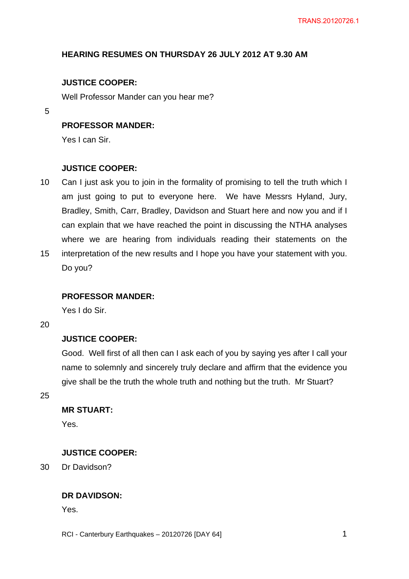# **HEARING RESUMES ON THURSDAY 26 JULY 2012 AT 9.30 AM**

# **JUSTICE COOPER:**

Well Professor Mander can you hear me?

5

# **PROFESSOR MANDER:**

Yes I can Sir.

### **JUSTICE COOPER:**

- 10 15 Can I just ask you to join in the formality of promising to tell the truth which I am just going to put to everyone here. We have Messrs Hyland, Jury, Bradley, Smith, Carr, Bradley, Davidson and Stuart here and now you and if I can explain that we have reached the point in discussing the NTHA analyses where we are hearing from individuals reading their statements on the interpretation of the new results and I hope you have your statement with you.
- Do you?

#### **PROFESSOR MANDER:**

Yes I do Sir.

20

# **JUSTICE COOPER:**

Good. Well first of all then can I ask each of you by saying yes after I call your name to solemnly and sincerely truly declare and affirm that the evidence you give shall be the truth the whole truth and nothing but the truth. Mr Stuart?

25

# **MR STUART:**

Yes.

# **JUSTICE COOPER:**

30 Dr Davidson?

## **DR DAVIDSON:**

Yes.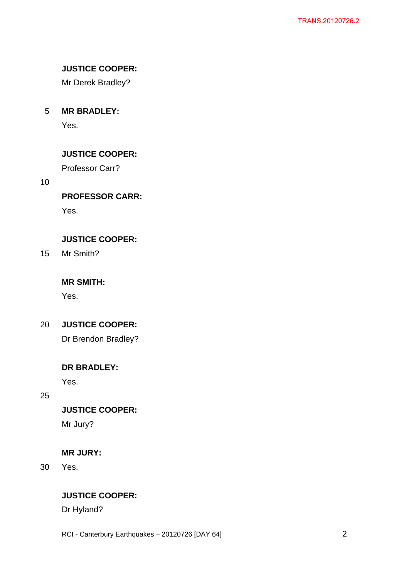# **JUSTICE COOPER:**

Mr Derek Bradley?

5 **MR BRADLEY:** 

Yes.

# **JUSTICE COOPER:**

Professor Carr?

10

# **PROFESSOR CARR:**

Yes.

# **JUSTICE COOPER:**

15 Mr Smith?

# **MR SMITH:**

Yes.

20 **JUSTICE COOPER:** 

Dr Brendon Bradley?

# **DR BRADLEY:**

Yes.

25

**JUSTICE COOPER:** 

Mr Jury?

# **MR JURY:**

30 Yes.

# **JUSTICE COOPER:**

Dr Hyland?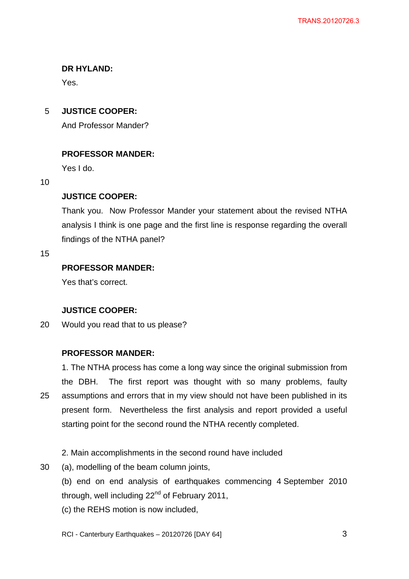# **DR HYLAND:**

Yes.

5 **JUSTICE COOPER:** 

And Professor Mander?

# **PROFESSOR MANDER:**

Yes I do.

10

# **JUSTICE COOPER:**

Thank you. Now Professor Mander your statement about the revised NTHA analysis I think is one page and the first line is response regarding the overall findings of the NTHA panel?

## 15

# **PROFESSOR MANDER:**

Yes that's correct.

# **JUSTICE COOPER:**

20 Would you read that to us please?

# **PROFESSOR MANDER:**

25 1. The NTHA process has come a long way since the original submission from the DBH. The first report was thought with so many problems, faulty assumptions and errors that in my view should not have been published in its present form. Nevertheless the first analysis and report provided a useful starting point for the second round the NTHA recently completed.

# 2. Main accomplishments in the second round have included

30 (a), modelling of the beam column joints,

> (b) end on end analysis of earthquakes commencing 4 September 2010 through, well including  $22<sup>nd</sup>$  of February 2011,

(c) the REHS motion is now included,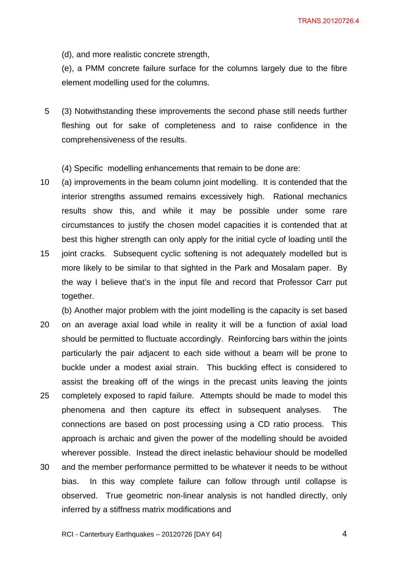TRANS.20120726.4

(d), and more realistic concrete strength,

(e), a PMM concrete failure surface for the columns largely due to the fibre element modelling used for the columns.

5 (3) Notwithstanding these improvements the second phase still needs further fleshing out for sake of completeness and to raise confidence in the comprehensiveness of the results.

(4) Specific modelling enhancements that remain to be done are:

- 10 (a) improvements in the beam column joint modelling. It is contended that the interior strengths assumed remains excessively high. Rational mechanics results show this, and while it may be possible under some rare circumstances to justify the chosen model capacities it is contended that at best this higher strength can only apply for the initial cycle of loading until the
- 15 joint cracks. Subsequent cyclic softening is not adequately modelled but is more likely to be similar to that sighted in the Park and Mosalam paper. By the way I believe that's in the input file and record that Professor Carr put together.
- 20 25 30 (b) Another major problem with the joint modelling is the capacity is set based on an average axial load while in reality it will be a function of axial load should be permitted to fluctuate accordingly. Reinforcing bars within the joints particularly the pair adjacent to each side without a beam will be prone to buckle under a modest axial strain. This buckling effect is considered to assist the breaking off of the wings in the precast units leaving the joints completely exposed to rapid failure. Attempts should be made to model this phenomena and then capture its effect in subsequent analyses. The connections are based on post processing using a CD ratio process. This approach is archaic and given the power of the modelling should be avoided wherever possible. Instead the direct inelastic behaviour should be modelled and the member performance permitted to be whatever it needs to be without bias. In this way complete failure can follow through until collapse is observed. True geometric non-linear analysis is not handled directly, only inferred by a stiffness matrix modifications and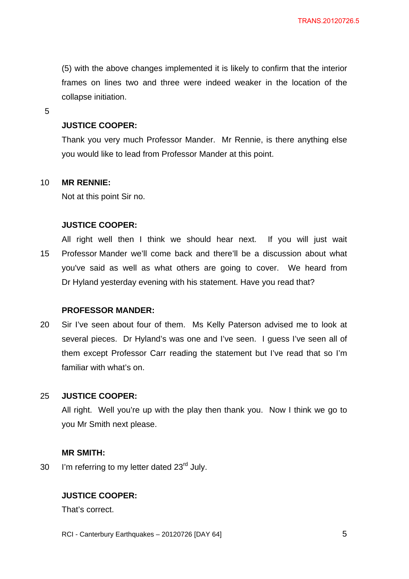(5) with the above changes implemented it is likely to confirm that the interior frames on lines two and three were indeed weaker in the location of the collapse initiation.

5

# **JUSTICE COOPER:**

Thank you very much Professor Mander. Mr Rennie, is there anything else you would like to lead from Professor Mander at this point.

#### 10 **MR RENNIE:**

Not at this point Sir no.

#### **JUSTICE COOPER:**

15 All right well then I think we should hear next. If you will just wait Professor Mander we'll come back and there'll be a discussion about what you've said as well as what others are going to cover. We heard from Dr Hyland yesterday evening with his statement. Have you read that?

### **PROFESSOR MANDER:**

20 Sir I've seen about four of them. Ms Kelly Paterson advised me to look at several pieces. Dr Hyland's was one and I've seen. I guess I've seen all of them except Professor Carr reading the statement but I've read that so I'm familiar with what's on.

#### 25 **JUSTICE COOPER:**

All right. Well you're up with the play then thank you. Now I think we go to you Mr Smith next please.

#### **MR SMITH:**

30 I'm referring to my letter dated  $23<sup>rd</sup>$  July.

## **JUSTICE COOPER:**

That's correct.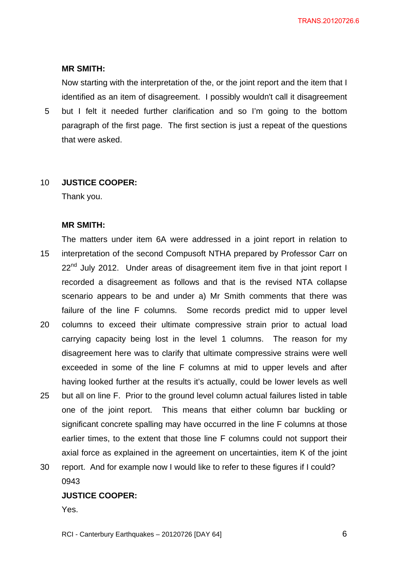TRANS.20120726.6

#### **MR SMITH:**

Now starting with the interpretation of the, or the joint report and the item that I identified as an item of disagreement. I possibly wouldn't call it disagreement

5 but I felt it needed further clarification and so I'm going to the bottom paragraph of the first page. The first section is just a repeat of the questions that were asked.

#### 10 **JUSTICE COOPER:**

Thank you.

#### **MR SMITH:**

15 20 25 The matters under item 6A were addressed in a joint report in relation to interpretation of the second Compusoft NTHA prepared by Professor Carr on  $22<sup>nd</sup>$  July 2012. Under areas of disagreement item five in that joint report I recorded a disagreement as follows and that is the revised NTA collapse scenario appears to be and under a) Mr Smith comments that there was failure of the line F columns. Some records predict mid to upper level columns to exceed their ultimate compressive strain prior to actual load carrying capacity being lost in the level 1 columns. The reason for my disagreement here was to clarify that ultimate compressive strains were well exceeded in some of the line F columns at mid to upper levels and after having looked further at the results it's actually, could be lower levels as well but all on line F. Prior to the ground level column actual failures listed in table

- one of the joint report. This means that either column bar buckling or significant concrete spalling may have occurred in the line F columns at those earlier times, to the extent that those line F columns could not support their axial force as explained in the agreement on uncertainties, item K of the joint
- 30 report. And for example now I would like to refer to these figures if I could? 0943

# **JUSTICE COOPER:**

Yes.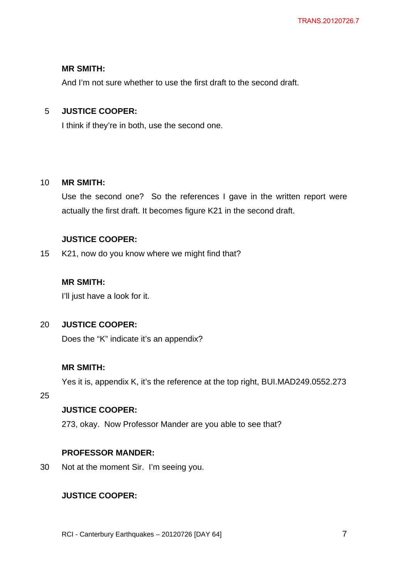### **MR SMITH:**

And I'm not sure whether to use the first draft to the second draft.

#### 5 **JUSTICE COOPER:**

I think if they're in both, use the second one.

#### 10 **MR SMITH:**

Use the second one? So the references I gave in the written report were actually the first draft. It becomes figure K21 in the second draft.

# **JUSTICE COOPER:**

15 K21, now do you know where we might find that?

# **MR SMITH:**

I'll just have a look for it.

#### $20<sub>2</sub>$ **JUSTICE COOPER:**

Does the "K" indicate it's an appendix?

# **MR SMITH:**

Yes it is, appendix K, it's the reference at the top right, BUI.MAD249.0552.273

25

# **JUSTICE COOPER:**

273, okay. Now Professor Mander are you able to see that?

### **PROFESSOR MANDER:**

30 Not at the moment Sir. I'm seeing you.

# **JUSTICE COOPER:**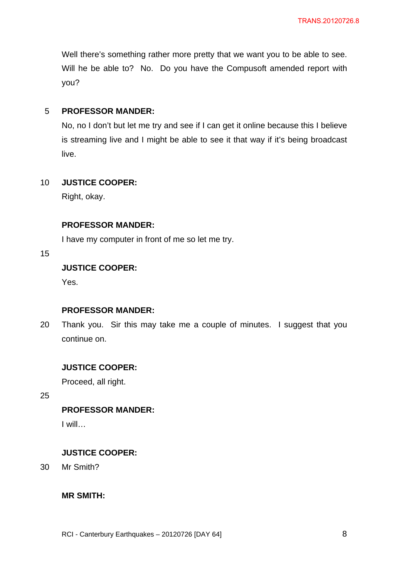Well there's something rather more pretty that we want you to be able to see. Will he be able to? No. Do you have the Compusoft amended report with you?

#### 5 **PROFESSOR MANDER:**

No, no I don't but let me try and see if I can get it online because this I believe is streaming live and I might be able to see it that way if it's being broadcast live.

#### 10 **JUSTICE COOPER:**

Right, okay.

# **PROFESSOR MANDER:**

I have my computer in front of me so let me try.

15

# **JUSTICE COOPER:**

Yes.

# **PROFESSOR MANDER:**

20 Thank you. Sir this may take me a couple of minutes. I suggest that you continue on.

## **JUSTICE COOPER:**

Proceed, all right.

25

# **PROFESSOR MANDER:**

I will…

# **JUSTICE COOPER:**

30 Mr Smith?

## **MR SMITH:**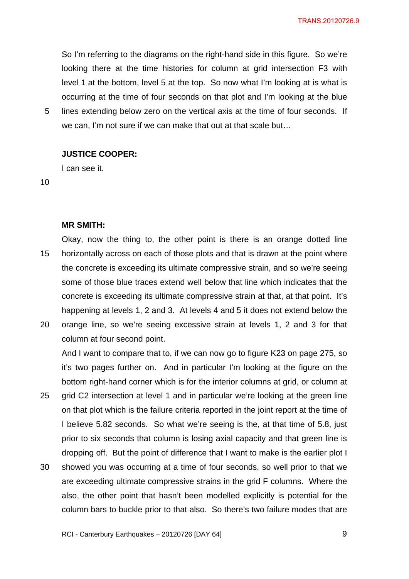TRANS.20120726.9

So I'm referring to the diagrams on the right-hand side in this figure. So we're looking there at the time histories for column at grid intersection F3 with level 1 at the bottom, level 5 at the top. So now what I'm looking at is what is occurring at the time of four seconds on that plot and I'm looking at the blue lines extending below zero on the vertical axis at the time of four seconds. If

we can, I'm not sure if we can make that out at that scale but…

# **JUSTICE COOPER:**

I can see it.

10

5

#### **MR SMITH:**

15 Okay, now the thing to, the other point is there is an orange dotted line horizontally across on each of those plots and that is drawn at the point where the concrete is exceeding its ultimate compressive strain, and so we're seeing some of those blue traces extend well below that line which indicates that the concrete is exceeding its ultimate compressive strain at that, at that point. It's happening at levels 1, 2 and 3. At levels 4 and 5 it does not extend below the

20 orange line, so we're seeing excessive strain at levels 1, 2 and 3 for that column at four second point.

And I want to compare that to, if we can now go to figure K23 on page 275, so it's two pages further on. And in particular I'm looking at the figure on the bottom right-hand corner which is for the interior columns at grid, or column at grid C2 intersection at level 1 and in particular we're looking at the green line

- 25 on that plot which is the failure criteria reported in the joint report at the time of I believe 5.82 seconds. So what we're seeing is the, at that time of 5.8, just prior to six seconds that column is losing axial capacity and that green line is dropping off. But the point of difference that I want to make is the earlier plot I
- 30 showed you was occurring at a time of four seconds, so well prior to that we are exceeding ultimate compressive strains in the grid F columns. Where the also, the other point that hasn't been modelled explicitly is potential for the column bars to buckle prior to that also. So there's two failure modes that are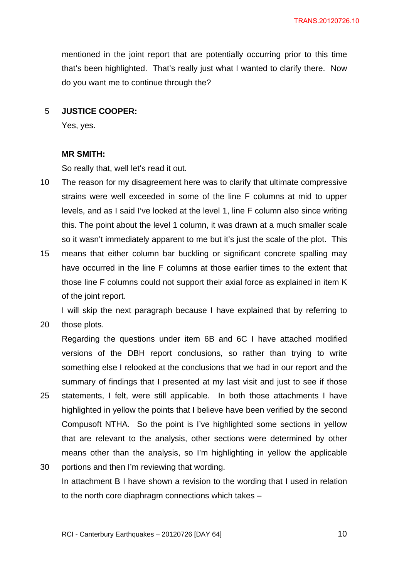mentioned in the joint report that are potentially occurring prior to this time that's been highlighted. That's really just what I wanted to clarify there. Now do you want me to continue through the?

#### 5 **JUSTICE COOPER:**

Yes, yes.

#### **MR SMITH:**

20

So really that, well let's read it out.

- 10 The reason for my disagreement here was to clarify that ultimate compressive strains were well exceeded in some of the line F columns at mid to upper levels, and as I said I've looked at the level 1, line F column also since writing this. The point about the level 1 column, it was drawn at a much smaller scale so it wasn't immediately apparent to me but it's just the scale of the plot. This
- 15 means that either column bar buckling or significant concrete spalling may have occurred in the line F columns at those earlier times to the extent that those line F columns could not support their axial force as explained in item K of the joint report.

I will skip the next paragraph because I have explained that by referring to those plots.

- 25 Regarding the questions under item 6B and 6C I have attached modified versions of the DBH report conclusions, so rather than trying to write something else I relooked at the conclusions that we had in our report and the summary of findings that I presented at my last visit and just to see if those statements, I felt, were still applicable. In both those attachments I have highlighted in yellow the points that I believe have been verified by the second Compusoft NTHA. So the point is I've highlighted some sections in yellow that are relevant to the analysis, other sections were determined by other means other than the analysis, so I'm highlighting in yellow the applicable
- 30 portions and then I'm reviewing that wording. In attachment B I have shown a revision to the wording that I used in relation to the north core diaphragm connections which takes –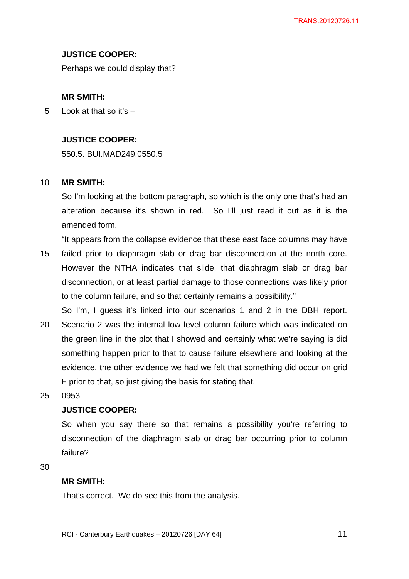# **JUSTICE COOPER:**

Perhaps we could display that?

# **MR SMITH:**

5 Look at that so it's  $-$ 

# **JUSTICE COOPER:**

550.5. BUI.MAD249.0550.5

#### 10 **MR SMITH:**

So I'm looking at the bottom paragraph, so which is the only one that's had an alteration because it's shown in red. So I'll just read it out as it is the amended form.

"It appears from the collapse evidence that these east face columns may have

- 15 failed prior to diaphragm slab or drag bar disconnection at the north core. However the NTHA indicates that slide, that diaphragm slab or drag bar disconnection, or at least partial damage to those connections was likely prior to the column failure, and so that certainly remains a possibility."
- 20 So I'm, I guess it's linked into our scenarios 1 and 2 in the DBH report. Scenario 2 was the internal low level column failure which was indicated on the green line in the plot that I showed and certainly what we're saying is did something happen prior to that to cause failure elsewhere and looking at the evidence, the other evidence we had we felt that something did occur on grid F prior to that, so just giving the basis for stating that.
- 25 0953

# **JUSTICE COOPER:**

So when you say there so that remains a possibility you're referring to disconnection of the diaphragm slab or drag bar occurring prior to column failure?

30

# **MR SMITH:**

That's correct. We do see this from the analysis.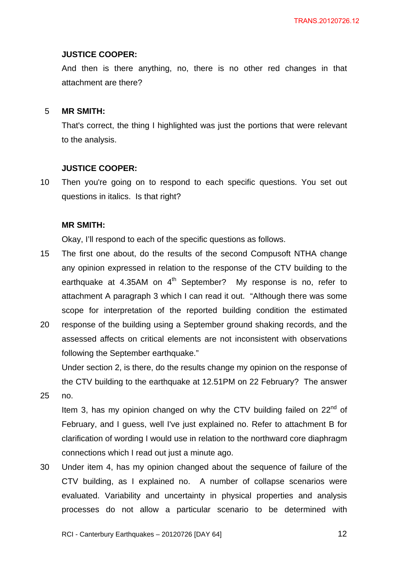#### **JUSTICE COOPER:**

And then is there anything, no, there is no other red changes in that attachment are there?

#### 5 **MR SMITH:**

That's correct, the thing I highlighted was just the portions that were relevant to the analysis.

#### **JUSTICE COOPER:**

10 Then you're going on to respond to each specific questions. You set out questions in italics. Is that right?

#### **MR SMITH:**

Okay, I'll respond to each of the specific questions as follows.

- 15 The first one about, do the results of the second Compusoft NTHA change any opinion expressed in relation to the response of the CTV building to the earthquake at 4.35AM on  $4<sup>th</sup>$  September? My response is no, refer to attachment A paragraph 3 which I can read it out. "Although there was some scope for interpretation of the reported building condition the estimated
- 20 response of the building using a September ground shaking records, and the assessed affects on critical elements are not inconsistent with observations following the September earthquake."

Under section 2, is there, do the results change my opinion on the response of the CTV building to the earthquake at 12.51PM on 22 February? The answer

25 no.

> Item 3, has my opinion changed on why the CTV building failed on  $22<sup>nd</sup>$  of February, and I guess, well I've just explained no. Refer to attachment B for clarification of wording I would use in relation to the northward core diaphragm connections which I read out just a minute ago.

30 Under item 4, has my opinion changed about the sequence of failure of the CTV building, as I explained no. A number of collapse scenarios were evaluated. Variability and uncertainty in physical properties and analysis processes do not allow a particular scenario to be determined with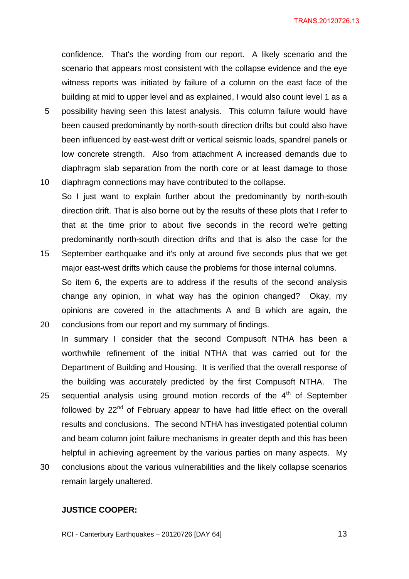confidence. That's the wording from our report. A likely scenario and the scenario that appears most consistent with the collapse evidence and the eye witness reports was initiated by failure of a column on the east face of the building at mid to upper level and as explained, I would also count level 1 as a

- 5 10 possibility having seen this latest analysis. This column failure would have been caused predominantly by north-south direction drifts but could also have been influenced by east-west drift or vertical seismic loads, spandrel panels or low concrete strength. Also from attachment A increased demands due to diaphragm slab separation from the north core or at least damage to those
- diaphragm connections may have contributed to the collapse. So I just want to explain further about the predominantly by north-south direction drift. That is also borne out by the results of these plots that I refer to that at the time prior to about five seconds in the record we're getting predominantly north-south direction drifts and that is also the case for the
- 15 September earthquake and it's only at around five seconds plus that we get major east-west drifts which cause the problems for those internal columns. So item 6, the experts are to address if the results of the second analysis change any opinion, in what way has the opinion changed? Okay, my opinions are covered in the attachments A and B which are again, the
- 20 conclusions from our report and my summary of findings. In summary I consider that the second Compusoft NTHA has been a worthwhile refinement of the initial NTHA that was carried out for the Department of Building and Housing. It is verified that the overall response of the building was accurately predicted by the first Compusoft NTHA. The
- 25 sequential analysis using ground motion records of the  $4<sup>th</sup>$  of September followed by 22<sup>nd</sup> of February appear to have had little effect on the overall results and conclusions. The second NTHA has investigated potential column and beam column joint failure mechanisms in greater depth and this has been helpful in achieving agreement by the various parties on many aspects. My
- 30 conclusions about the various vulnerabilities and the likely collapse scenarios remain largely unaltered.

### **JUSTICE COOPER:**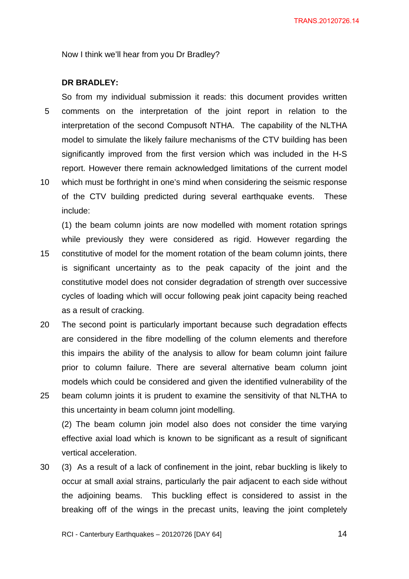Now I think we'll hear from you Dr Bradley?

# **DR BRADLEY:**

5 10 So from my individual submission it reads: this document provides written comments on the interpretation of the joint report in relation to the interpretation of the second Compusoft NTHA. The capability of the NLTHA model to simulate the likely failure mechanisms of the CTV building has been significantly improved from the first version which was included in the H-S report. However there remain acknowledged limitations of the current model which must be forthright in one's mind when considering the seismic response of the CTV building predicted during several earthquake events. These include:

(1) the beam column joints are now modelled with moment rotation springs while previously they were considered as rigid. However regarding the

- 15 constitutive of model for the moment rotation of the beam column joints, there is significant uncertainty as to the peak capacity of the joint and the constitutive model does not consider degradation of strength over successive cycles of loading which will occur following peak joint capacity being reached as a result of cracking.
- 20 The second point is particularly important because such degradation effects are considered in the fibre modelling of the column elements and therefore this impairs the ability of the analysis to allow for beam column joint failure prior to column failure. There are several alternative beam column joint models which could be considered and given the identified vulnerability of the
- 25 beam column joints it is prudent to examine the sensitivity of that NLTHA to this uncertainty in beam column joint modelling.

(2) The beam column join model also does not consider the time varying effective axial load which is known to be significant as a result of significant vertical acceleration.

30 (3) As a result of a lack of confinement in the joint, rebar buckling is likely to occur at small axial strains, particularly the pair adjacent to each side without the adjoining beams. This buckling effect is considered to assist in the breaking off of the wings in the precast units, leaving the joint completely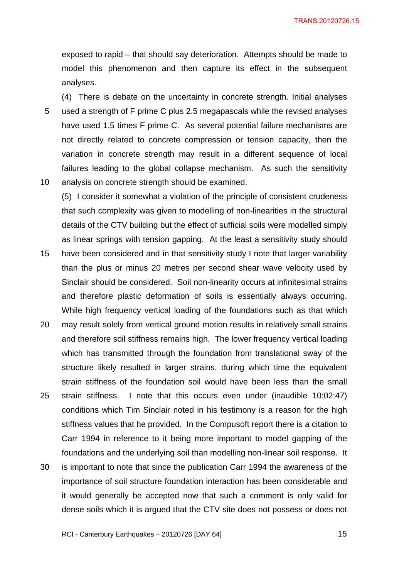exposed to rapid – that should say deterioration. Attempts should be made to model this phenomenon and then capture its effect in the subsequent analyses.

5 10 (4) There is debate on the uncertainty in concrete strength. Initial analyses used a strength of F prime C plus 2.5 megapascals while the revised analyses have used 1.5 times F prime C. As several potential failure mechanisms are not directly related to concrete compression or tension capacity, then the variation in concrete strength may result in a different sequence of local failures leading to the global collapse mechanism. As such the sensitivity analysis on concrete strength should be examined.

(5) I consider it somewhat a violation of the principle of consistent crudeness that such complexity was given to modelling of non-linearities in the structural details of the CTV building but the effect of sufficial soils were modelled simply as linear springs with tension gapping. At the least a sensitivity study should

- 15 have been considered and in that sensitivity study I note that larger variability than the plus or minus 20 metres per second shear wave velocity used by Sinclair should be considered. Soil non-linearity occurs at infinitesimal strains and therefore plastic deformation of soils is essentially always occurring. While high frequency vertical loading of the foundations such as that which
- 20 25 may result solely from vertical ground motion results in relatively small strains and therefore soil stiffness remains high. The lower frequency vertical loading which has transmitted through the foundation from translational sway of the structure likely resulted in larger strains, during which time the equivalent strain stiffness of the foundation soil would have been less than the small strain stiffness. I note that this occurs even under (inaudible 10:02:47) conditions which Tim Sinclair noted in his testimony is a reason for the high stiffness values that he provided. In the Compusoft report there is a citation to Carr 1994 in reference to it being more important to model gapping of the
- 30 is important to note that since the publication Carr 1994 the awareness of the importance of soil structure foundation interaction has been considerable and it would generally be accepted now that such a comment is only valid for dense soils which it is argued that the CTV site does not possess or does not

foundations and the underlying soil than modelling non-linear soil response. It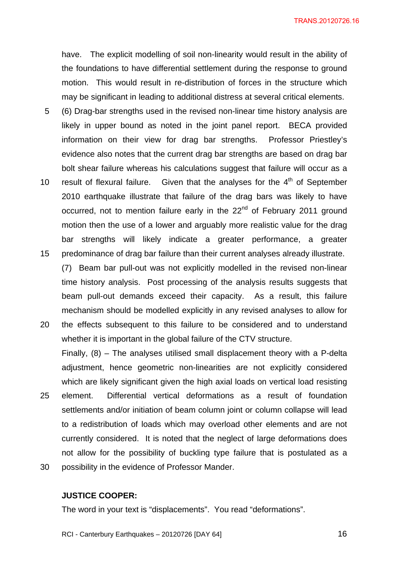TRANS.20120726.16

have. The explicit modelling of soil non-linearity would result in the ability of the foundations to have differential settlement during the response to ground motion. This would result in re-distribution of forces in the structure which may be significant in leading to additional distress at several critical elements.

- 5 (6) Drag-bar strengths used in the revised non-linear time history analysis are likely in upper bound as noted in the joint panel report. BECA provided information on their view for drag bar strengths. Professor Priestley's evidence also notes that the current drag bar strengths are based on drag bar bolt shear failure whereas his calculations suggest that failure will occur as a
- 10 15 result of flexural failure. Given that the analyses for the  $4<sup>th</sup>$  of September 2010 earthquake illustrate that failure of the drag bars was likely to have occurred, not to mention failure early in the  $22<sup>nd</sup>$  of February 2011 ground motion then the use of a lower and arguably more realistic value for the drag bar strengths will likely indicate a greater performance, a greater predominance of drag bar failure than their current analyses already illustrate.
- 20 (7) Beam bar pull-out was not explicitly modelled in the revised non-linear time history analysis. Post processing of the analysis results suggests that beam pull-out demands exceed their capacity. As a result, this failure mechanism should be modelled explicitly in any revised analyses to allow for the effects subsequent to this failure to be considered and to understand
- 25 whether it is important in the global failure of the CTV structure. Finally, (8) – The analyses utilised small displacement theory with a P-delta adjustment, hence geometric non-linearities are not explicitly considered which are likely significant given the high axial loads on vertical load resisting element. Differential vertical deformations as a result of foundation settlements and/or initiation of beam column joint or column collapse will lead to a redistribution of loads which may overload other elements and are not currently considered. It is noted that the neglect of large deformations does not allow for the possibility of buckling type failure that is postulated as a
- 30 possibility in the evidence of Professor Mander.

# **JUSTICE COOPER:**

The word in your text is "displacements". You read "deformations".

RCI - Canterbury Earthquakes – 20120726 [DAY 64]

 $\sim$  16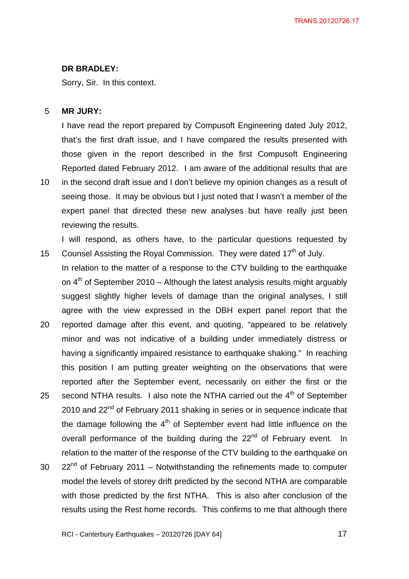#### **DR BRADLEY:**

Sorry, Sir. In this context.

reviewing the results.

#### 5 **MR JURY:**

10

15

I have read the report prepared by Compusoft Engineering dated July 2012, that's the first draft issue, and I have compared the results presented with those given in the report described in the first Compusoft Engineering Reported dated February 2012. I am aware of the additional results that are in the second draft issue and I don't believe my opinion changes as a result of seeing those. It may be obvious but I just noted that I wasn't a member of the expert panel that directed these new analyses but have really just been

I will respond, as others have, to the particular questions requested by Counsel Assisting the Royal Commission. They were dated 17<sup>th</sup> of July.

In relation to the matter of a response to the CTV building to the earthquake on  $4<sup>th</sup>$  of September 2010 – Although the latest analysis results might arguably suggest slightly higher levels of damage than the original analyses, I still agree with the view expressed in the DBH expert panel report that the

- 20 reported damage after this event, and quoting, "appeared to be relatively minor and was not indicative of a building under immediately distress or having a significantly impaired resistance to earthquake shaking." In reaching this position I am putting greater weighting on the observations that were reported after the September event, necessarily on either the first or the
- 25 second NTHA results. I also note the NTHA carried out the  $4<sup>th</sup>$  of September 2010 and  $22<sup>nd</sup>$  of February 2011 shaking in series or in sequence indicate that the damage following the  $4<sup>th</sup>$  of September event had little influence on the overall performance of the building during the 22<sup>nd</sup> of February event. In relation to the matter of the response of the CTV building to the earthquake on
- 30  $22<sup>nd</sup>$  of February 2011 – Notwithstanding the refinements made to computer model the levels of storey drift predicted by the second NTHA are comparable with those predicted by the first NTHA. This is also after conclusion of the results using the Rest home records. This confirms to me that although there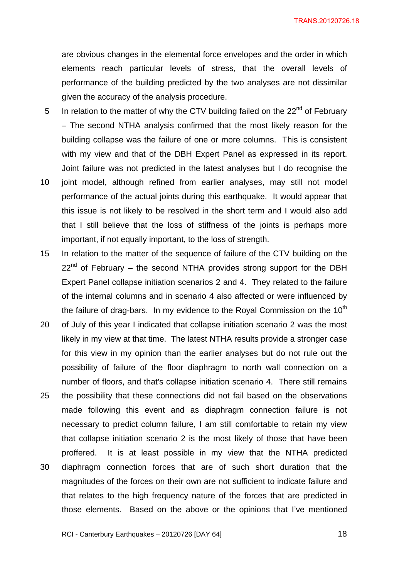TRANS.20120726.18

are obvious changes in the elemental force envelopes and the order in which elements reach particular levels of stress, that the overall levels of performance of the building predicted by the two analyses are not dissimilar given the accuracy of the analysis procedure.

- 5 In relation to the matter of why the CTV building failed on the  $22<sup>nd</sup>$  of February – The second NTHA analysis confirmed that the most likely reason for the building collapse was the failure of one or more columns. This is consistent with my view and that of the DBH Expert Panel as expressed in its report. Joint failure was not predicted in the latest analyses but I do recognise the
- 10 joint model, although refined from earlier analyses, may still not model performance of the actual joints during this earthquake. It would appear that this issue is not likely to be resolved in the short term and I would also add that I still believe that the loss of stiffness of the joints is perhaps more important, if not equally important, to the loss of strength.
- 15 In relation to the matter of the sequence of failure of the CTV building on the  $22<sup>nd</sup>$  of February – the second NTHA provides strong support for the DBH Expert Panel collapse initiation scenarios 2 and 4. They related to the failure of the internal columns and in scenario 4 also affected or were influenced by the failure of drag-bars. In my evidence to the Royal Commission on the  $10<sup>th</sup>$
- 20 of July of this year I indicated that collapse initiation scenario 2 was the most likely in my view at that time. The latest NTHA results provide a stronger case for this view in my opinion than the earlier analyses but do not rule out the possibility of failure of the floor diaphragm to north wall connection on a number of floors, and that's collapse initiation scenario 4. There still remains
- 25 30 the possibility that these connections did not fail based on the observations made following this event and as diaphragm connection failure is not necessary to predict column failure, I am still comfortable to retain my view that collapse initiation scenario 2 is the most likely of those that have been proffered. It is at least possible in my view that the NTHA predicted diaphragm connection forces that are of such short duration that the magnitudes of the forces on their own are not sufficient to indicate failure and
	- that relates to the high frequency nature of the forces that are predicted in those elements. Based on the above or the opinions that I've mentioned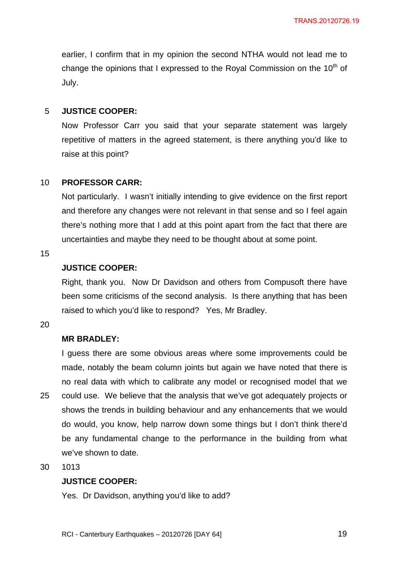earlier, I confirm that in my opinion the second NTHA would not lead me to change the opinions that I expressed to the Royal Commission on the  $10<sup>th</sup>$  of July.

#### 5 **JUSTICE COOPER:**

Now Professor Carr you said that your separate statement was largely repetitive of matters in the agreed statement, is there anything you'd like to raise at this point?

#### 10 **PROFESSOR CARR:**

Not particularly. I wasn't initially intending to give evidence on the first report and therefore any changes were not relevant in that sense and so I feel again there's nothing more that I add at this point apart from the fact that there are uncertainties and maybe they need to be thought about at some point.

#### 15

# **JUSTICE COOPER:**

Right, thank you. Now Dr Davidson and others from Compusoft there have been some criticisms of the second analysis. Is there anything that has been raised to which you'd like to respond? Yes, Mr Bradley.

#### 20

### **MR BRADLEY:**

25 I guess there are some obvious areas where some improvements could be made, notably the beam column joints but again we have noted that there is no real data with which to calibrate any model or recognised model that we could use. We believe that the analysis that we've got adequately projects or shows the trends in building behaviour and any enhancements that we would do would, you know, help narrow down some things but I don't think there'd be any fundamental change to the performance in the building from what we've shown to date.

30 1013

## **JUSTICE COOPER:**

Yes. Dr Davidson, anything you'd like to add?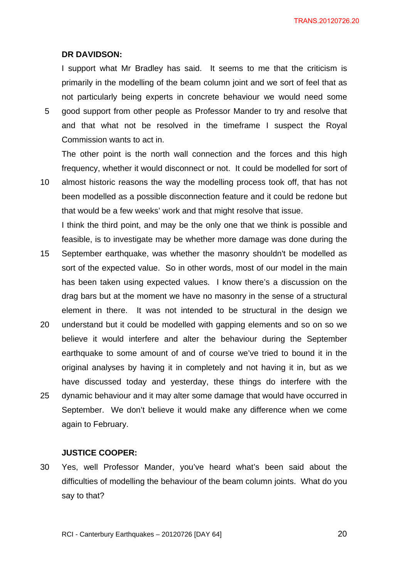#### **DR DAVIDSON:**

I support what Mr Bradley has said. It seems to me that the criticism is primarily in the modelling of the beam column joint and we sort of feel that as not particularly being experts in concrete behaviour we would need some

5 good support from other people as Professor Mander to try and resolve that and that what not be resolved in the timeframe I suspect the Royal Commission wants to act in.

The other point is the north wall connection and the forces and this high frequency, whether it would disconnect or not. It could be modelled for sort of

10 almost historic reasons the way the modelling process took off, that has not been modelled as a possible disconnection feature and it could be redone but that would be a few weeks' work and that might resolve that issue. I think the third point, and may be the only one that we think is possible and

15 feasible, is to investigate may be whether more damage was done during the September earthquake, was whether the masonry shouldn't be modelled as sort of the expected value. So in other words, most of our model in the main has been taken using expected values. I know there's a discussion on the drag bars but at the moment we have no masonry in the sense of a structural element in there. It was not intended to be structural in the design we

20 25 understand but it could be modelled with gapping elements and so on so we believe it would interfere and alter the behaviour during the September earthquake to some amount of and of course we've tried to bound it in the original analyses by having it in completely and not having it in, but as we have discussed today and yesterday, these things do interfere with the dynamic behaviour and it may alter some damage that would have occurred in September. We don't believe it would make any difference when we come again to February.

### **JUSTICE COOPER:**

30 Yes, well Professor Mander, you've heard what's been said about the difficulties of modelling the behaviour of the beam column joints. What do you say to that?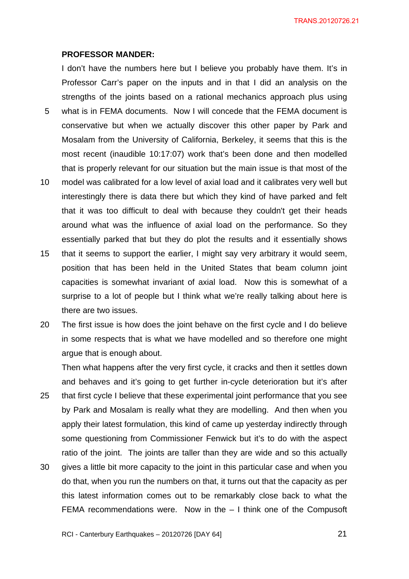TRANS.20120726.21

#### **PROFESSOR MANDER:**

I don't have the numbers here but I believe you probably have them. It's in Professor Carr's paper on the inputs and in that I did an analysis on the strengths of the joints based on a rational mechanics approach plus using

- 5 what is in FEMA documents. Now I will concede that the FEMA document is conservative but when we actually discover this other paper by Park and Mosalam from the University of California, Berkeley, it seems that this is the most recent (inaudible 10:17:07) work that's been done and then modelled that is properly relevant for our situation but the main issue is that most of the
- 10 model was calibrated for a low level of axial load and it calibrates very well but interestingly there is data there but which they kind of have parked and felt that it was too difficult to deal with because they couldn't get their heads around what was the influence of axial load on the performance. So they essentially parked that but they do plot the results and it essentially shows
- 15 that it seems to support the earlier, I might say very arbitrary it would seem, position that has been held in the United States that beam column joint capacities is somewhat invariant of axial load. Now this is somewhat of a surprise to a lot of people but I think what we're really talking about here is there are two issues.
- 20 The first issue is how does the joint behave on the first cycle and I do believe in some respects that is what we have modelled and so therefore one might argue that is enough about.

25 30 Then what happens after the very first cycle, it cracks and then it settles down and behaves and it's going to get further in-cycle deterioration but it's after that first cycle I believe that these experimental joint performance that you see by Park and Mosalam is really what they are modelling. And then when you apply their latest formulation, this kind of came up yesterday indirectly through some questioning from Commissioner Fenwick but it's to do with the aspect ratio of the joint. The joints are taller than they are wide and so this actually gives a little bit more capacity to the joint in this particular case and when you do that, when you run the numbers on that, it turns out that the capacity as per this latest information comes out to be remarkably close back to what the

FEMA recommendations were. Now in the – I think one of the Compusoft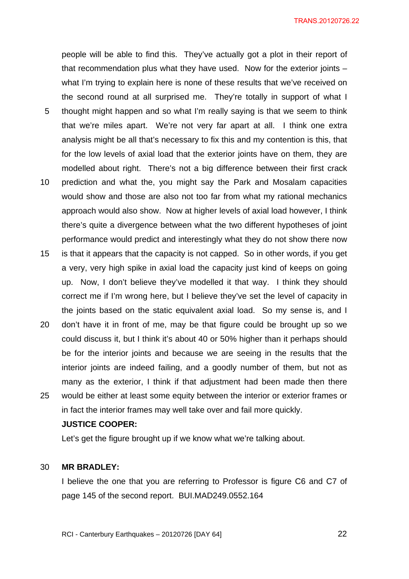people will be able to find this. They've actually got a plot in their report of that recommendation plus what they have used. Now for the exterior joints – what I'm trying to explain here is none of these results that we've received on the second round at all surprised me. They're totally in support of what I

- 5 thought might happen and so what I'm really saying is that we seem to think that we're miles apart. We're not very far apart at all. I think one extra analysis might be all that's necessary to fix this and my contention is this, that for the low levels of axial load that the exterior joints have on them, they are modelled about right. There's not a big difference between their first crack
- 10 prediction and what the, you might say the Park and Mosalam capacities would show and those are also not too far from what my rational mechanics approach would also show. Now at higher levels of axial load however, I think there's quite a divergence between what the two different hypotheses of joint performance would predict and interestingly what they do not show there now
- 15 is that it appears that the capacity is not capped. So in other words, if you get a very, very high spike in axial load the capacity just kind of keeps on going up. Now, I don't believe they've modelled it that way. I think they should correct me if I'm wrong here, but I believe they've set the level of capacity in the joints based on the static equivalent axial load. So my sense is, and I
- 20 25 don't have it in front of me, may be that figure could be brought up so we could discuss it, but I think it's about 40 or 50% higher than it perhaps should be for the interior joints and because we are seeing in the results that the interior joints are indeed failing, and a goodly number of them, but not as many as the exterior, I think if that adjustment had been made then there would be either at least some equity between the interior or exterior frames or in fact the interior frames may well take over and fail more quickly.

#### **JUSTICE COOPER:**

Let's get the figure brought up if we know what we're talking about.

#### 30 **MR BRADLEY:**

I believe the one that you are referring to Professor is figure C6 and C7 of page 145 of the second report. BUI.MAD249.0552.164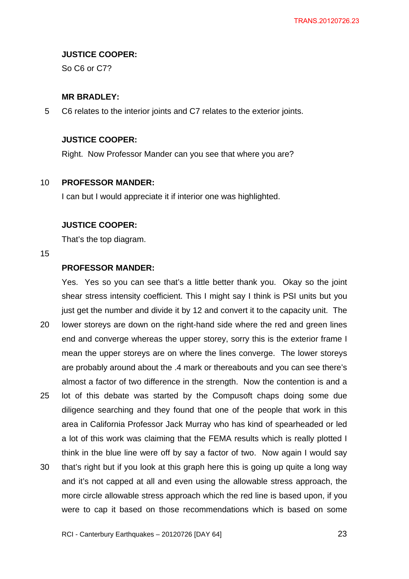### **JUSTICE COOPER:**

So C6 or C7?

### **MR BRADLEY:**

5 C6 relates to the interior joints and C7 relates to the exterior joints.

# **JUSTICE COOPER:**

Right. Now Professor Mander can you see that where you are?

#### 10 **PROFESSOR MANDER:**

I can but I would appreciate it if interior one was highlighted.

### **JUSTICE COOPER:**

That's the top diagram.

15

# **PROFESSOR MANDER:**

Yes. Yes so you can see that's a little better thank you. Okay so the joint shear stress intensity coefficient. This I might say I think is PSI units but you just get the number and divide it by 12 and convert it to the capacity unit. The

- 20 lower storeys are down on the right-hand side where the red and green lines end and converge whereas the upper storey, sorry this is the exterior frame I mean the upper storeys are on where the lines converge. The lower storeys are probably around about the .4 mark or thereabouts and you can see there's almost a factor of two difference in the strength. Now the contention is and a
- 25 lot of this debate was started by the Compusoft chaps doing some due diligence searching and they found that one of the people that work in this area in California Professor Jack Murray who has kind of spearheaded or led a lot of this work was claiming that the FEMA results which is really plotted I think in the blue line were off by say a factor of two. Now again I would say
- 30 that's right but if you look at this graph here this is going up quite a long way and it's not capped at all and even using the allowable stress approach, the more circle allowable stress approach which the red line is based upon, if you were to cap it based on those recommendations which is based on some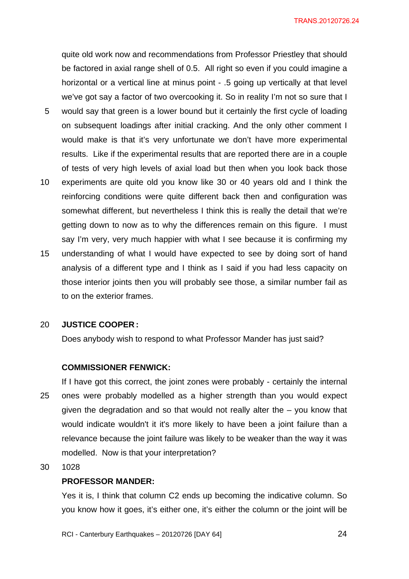quite old work now and recommendations from Professor Priestley that should be factored in axial range shell of 0.5. All right so even if you could imagine a horizontal or a vertical line at minus point - .5 going up vertically at that level we've got say a factor of two overcooking it. So in reality I'm not so sure that I

- 5 would say that green is a lower bound but it certainly the first cycle of loading on subsequent loadings after initial cracking. And the only other comment I would make is that it's very unfortunate we don't have more experimental results. Like if the experimental results that are reported there are in a couple of tests of very high levels of axial load but then when you look back those
- 10 experiments are quite old you know like 30 or 40 years old and I think the reinforcing conditions were quite different back then and configuration was somewhat different, but nevertheless I think this is really the detail that we're getting down to now as to why the differences remain on this figure. I must say I'm very, very much happier with what I see because it is confirming my
- 15 understanding of what I would have expected to see by doing sort of hand analysis of a different type and I think as I said if you had less capacity on those interior joints then you will probably see those, a similar number fail as to on the exterior frames.

#### 20 **JUSTICE COOPER :**

Does anybody wish to respond to what Professor Mander has just said?

#### **COMMISSIONER FENWICK:**

- 25 If I have got this correct, the joint zones were probably - certainly the internal ones were probably modelled as a higher strength than you would expect given the degradation and so that would not really alter the – you know that would indicate wouldn't it it's more likely to have been a joint failure than a relevance because the joint failure was likely to be weaker than the way it was modelled. Now is that your interpretation?
- 30 1028

#### **PROFESSOR MANDER:**

Yes it is, I think that column C2 ends up becoming the indicative column. So you know how it goes, it's either one, it's either the column or the joint will be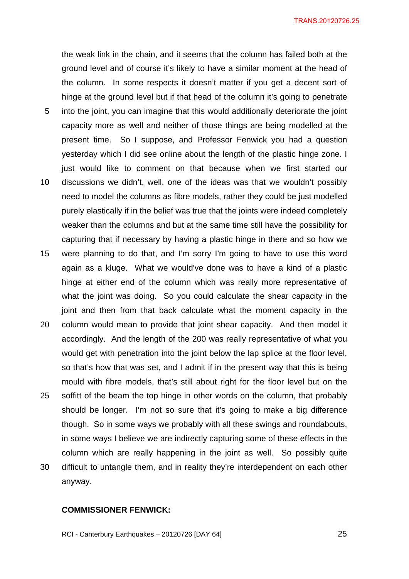5 10 the weak link in the chain, and it seems that the column has failed both at the ground level and of course it's likely to have a similar moment at the head of the column. In some respects it doesn't matter if you get a decent sort of hinge at the ground level but if that head of the column it's going to penetrate into the joint, you can imagine that this would additionally deteriorate the joint capacity more as well and neither of those things are being modelled at the present time. So I suppose, and Professor Fenwick you had a question yesterday which I did see online about the length of the plastic hinge zone. I just would like to comment on that because when we first started our discussions we didn't, well, one of the ideas was that we wouldn't possibly need to model the columns as fibre models, rather they could be just modelled purely elastically if in the belief was true that the joints were indeed completely weaker than the columns and but at the same time still have the possibility for capturing that if necessary by having a plastic hinge in there and so how we were planning to do that, and I'm sorry I'm going to have to use this word

- 15 again as a kluge. What we would've done was to have a kind of a plastic hinge at either end of the column which was really more representative of what the joint was doing. So you could calculate the shear capacity in the joint and then from that back calculate what the moment capacity in the
- 20 25 30 column would mean to provide that joint shear capacity. And then model it accordingly. And the length of the 200 was really representative of what you would get with penetration into the joint below the lap splice at the floor level, so that's how that was set, and I admit if in the present way that this is being mould with fibre models, that's still about right for the floor level but on the soffitt of the beam the top hinge in other words on the column, that probably should be longer. I'm not so sure that it's going to make a big difference though. So in some ways we probably with all these swings and roundabouts, in some ways I believe we are indirectly capturing some of these effects in the column which are really happening in the joint as well. So possibly quite difficult to untangle them, and in reality they're interdependent on each other

#### **COMMISSIONER FENWICK:**

anyway.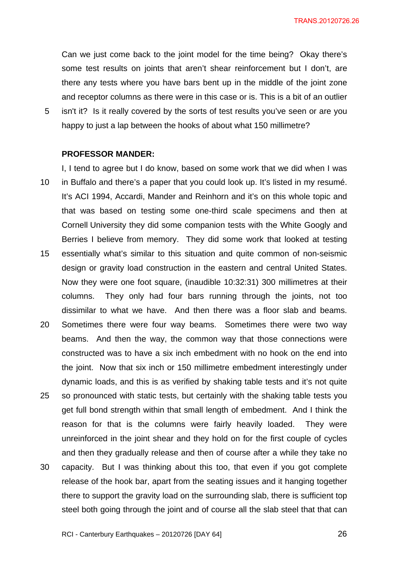TRANS.20120726.26

Can we just come back to the joint model for the time being? Okay there's some test results on joints that aren't shear reinforcement but I don't, are there any tests where you have bars bent up in the middle of the joint zone and receptor columns as there were in this case or is. This is a bit of an outlier isn't it? Is it really covered by the sorts of test results you've seen or are you

happy to just a lap between the hooks of about what 150 millimetre?

#### **PROFESSOR MANDER:**

5

10 15 20 I, I tend to agree but I do know, based on some work that we did when I was in Buffalo and there's a paper that you could look up. It's listed in my resumé. It's ACI 1994, Accardi, Mander and Reinhorn and it's on this whole topic and that was based on testing some one-third scale specimens and then at Cornell University they did some companion tests with the White Googly and Berries I believe from memory. They did some work that looked at testing essentially what's similar to this situation and quite common of non-seismic design or gravity load construction in the eastern and central United States. Now they were one foot square, (inaudible 10:32:31) 300 millimetres at their columns. They only had four bars running through the joints, not too dissimilar to what we have. And then there was a floor slab and beams. Sometimes there were four way beams. Sometimes there were two way

- beams. And then the way, the common way that those connections were constructed was to have a six inch embedment with no hook on the end into the joint. Now that six inch or 150 millimetre embedment interestingly under dynamic loads, and this is as verified by shaking table tests and it's not quite
- 25 so pronounced with static tests, but certainly with the shaking table tests you get full bond strength within that small length of embedment. And I think the reason for that is the columns were fairly heavily loaded. They were unreinforced in the joint shear and they hold on for the first couple of cycles and then they gradually release and then of course after a while they take no
- 30 capacity. But I was thinking about this too, that even if you got complete release of the hook bar, apart from the seating issues and it hanging together there to support the gravity load on the surrounding slab, there is sufficient top steel both going through the joint and of course all the slab steel that that can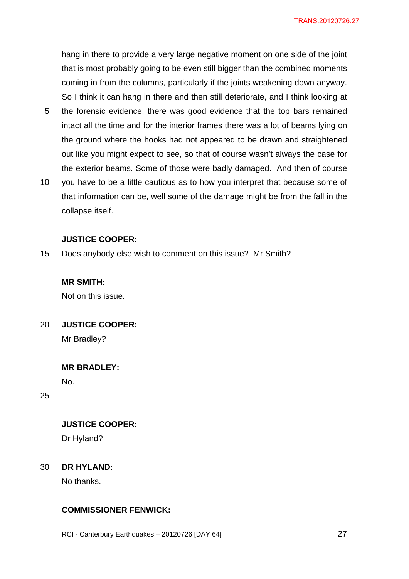hang in there to provide a very large negative moment on one side of the joint that is most probably going to be even still bigger than the combined moments coming in from the columns, particularly if the joints weakening down anyway. So I think it can hang in there and then still deteriorate, and I think looking at

- 5 the forensic evidence, there was good evidence that the top bars remained intact all the time and for the interior frames there was a lot of beams lying on the ground where the hooks had not appeared to be drawn and straightened out like you might expect to see, so that of course wasn't always the case for the exterior beams. Some of those were badly damaged. And then of course
- 10 you have to be a little cautious as to how you interpret that because some of that information can be, well some of the damage might be from the fall in the collapse itself.

### **JUSTICE COOPER:**

15 Does anybody else wish to comment on this issue? Mr Smith?

### **MR SMITH:**

Not on this issue.

20 **JUSTICE COOPER:** 

Mr Bradley?

**MR BRADLEY:** 

No.

25

# **JUSTICE COOPER:**

Dr Hyland?

#### 30 **DR HYLAND:**

No thanks.

# **COMMISSIONER FENWICK:**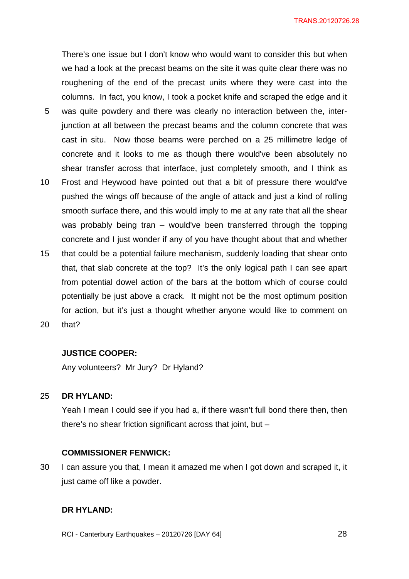There's one issue but I don't know who would want to consider this but when we had a look at the precast beams on the site it was quite clear there was no roughening of the end of the precast units where they were cast into the columns. In fact, you know, I took a pocket knife and scraped the edge and it

- 5 was quite powdery and there was clearly no interaction between the, interjunction at all between the precast beams and the column concrete that was cast in situ. Now those beams were perched on a 25 millimetre ledge of concrete and it looks to me as though there would've been absolutely no shear transfer across that interface, just completely smooth, and I think as
- 10 Frost and Heywood have pointed out that a bit of pressure there would've pushed the wings off because of the angle of attack and just a kind of rolling smooth surface there, and this would imply to me at any rate that all the shear was probably being tran – would've been transferred through the topping concrete and I just wonder if any of you have thought about that and whether
- 15 that could be a potential failure mechanism, suddenly loading that shear onto that, that slab concrete at the top? It's the only logical path I can see apart from potential dowel action of the bars at the bottom which of course could potentially be just above a crack. It might not be the most optimum position for action, but it's just a thought whether anyone would like to comment on
- 20 that?

#### **JUSTICE COOPER:**

Any volunteers? Mr Jury? Dr Hyland?

#### 25 **DR HYLAND:**

Yeah I mean I could see if you had a, if there wasn't full bond there then, then there's no shear friction significant across that joint, but –

#### **COMMISSIONER FENWICK:**

30 I can assure you that, I mean it amazed me when I got down and scraped it, it just came off like a powder.

## **DR HYLAND:**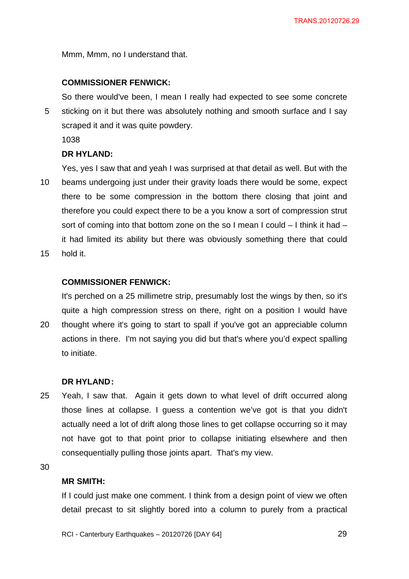Mmm, Mmm, no I understand that.

#### **COMMISSIONER FENWICK:**

5 So there would've been, I mean I really had expected to see some concrete sticking on it but there was absolutely nothing and smooth surface and I say scraped it and it was quite powdery.

1038

### **DR HYLAND:**

10 Yes, yes I saw that and yeah I was surprised at that detail as well. But with the beams undergoing just under their gravity loads there would be some, expect there to be some compression in the bottom there closing that joint and therefore you could expect there to be a you know a sort of compression strut sort of coming into that bottom zone on the so I mean I could – I think it had – it had limited its ability but there was obviously something there that could

15 hold it.

### **COMMISSIONER FENWICK:**

It's perched on a 25 millimetre strip, presumably lost the wings by then, so it's quite a high compression stress on there, right on a position I would have

20 thought where it's going to start to spall if you've got an appreciable column actions in there. I'm not saying you did but that's where you'd expect spalling to initiate.

#### **DR HYLAND :**

25 Yeah, I saw that. Again it gets down to what level of drift occurred along those lines at collapse. I guess a contention we've got is that you didn't actually need a lot of drift along those lines to get collapse occurring so it may not have got to that point prior to collapse initiating elsewhere and then consequentially pulling those joints apart. That's my view.

30

### **MR SMITH:**

If I could just make one comment. I think from a design point of view we often detail precast to sit slightly bored into a column to purely from a practical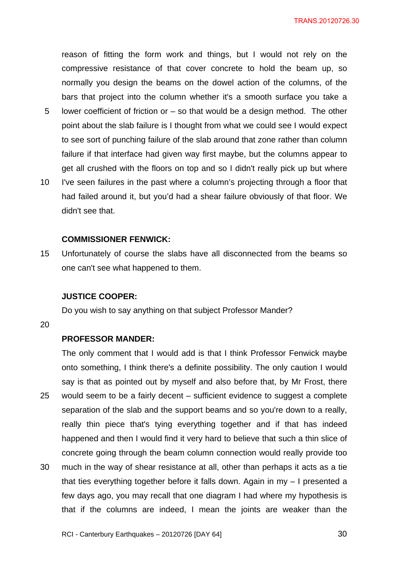reason of fitting the form work and things, but I would not rely on the compressive resistance of that cover concrete to hold the beam up, so normally you design the beams on the dowel action of the columns, of the bars that project into the column whether it's a smooth surface you take a

- 5 lower coefficient of friction or – so that would be a design method. The other point about the slab failure is I thought from what we could see I would expect to see sort of punching failure of the slab around that zone rather than column failure if that interface had given way first maybe, but the columns appear to get all crushed with the floors on top and so I didn't really pick up but where
- 10 I've seen failures in the past where a column's projecting through a floor that had failed around it, but you'd had a shear failure obviously of that floor. We didn't see that.

### **COMMISSIONER FENWICK:**

15 Unfortunately of course the slabs have all disconnected from the beams so one can't see what happened to them.

#### **JUSTICE COOPER:**

Do you wish to say anything on that subject Professor Mander?

20

### **PROFESSOR MANDER:**

25 30 The only comment that I would add is that I think Professor Fenwick maybe onto something, I think there's a definite possibility. The only caution I would say is that as pointed out by myself and also before that, by Mr Frost, there would seem to be a fairly decent – sufficient evidence to suggest a complete separation of the slab and the support beams and so you're down to a really, really thin piece that's tying everything together and if that has indeed happened and then I would find it very hard to believe that such a thin slice of concrete going through the beam column connection would really provide too much in the way of shear resistance at all, other than perhaps it acts as a tie

that ties everything together before it falls down. Again in my – I presented a few days ago, you may recall that one diagram I had where my hypothesis is that if the columns are indeed, I mean the joints are weaker than the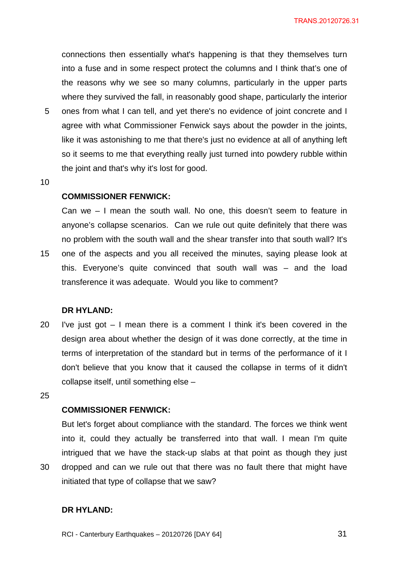connections then essentially what's happening is that they themselves turn into a fuse and in some respect protect the columns and I think that's one of the reasons why we see so many columns, particularly in the upper parts where they survived the fall, in reasonably good shape, particularly the interior

- 5 ones from what I can tell, and yet there's no evidence of joint concrete and I agree with what Commissioner Fenwick says about the powder in the joints, like it was astonishing to me that there's just no evidence at all of anything left so it seems to me that everything really just turned into powdery rubble within the joint and that's why it's lost for good.
- 10

### **COMMISSIONER FENWICK:**

15 Can we – I mean the south wall. No one, this doesn't seem to feature in anyone's collapse scenarios. Can we rule out quite definitely that there was no problem with the south wall and the shear transfer into that south wall? It's one of the aspects and you all received the minutes, saying please look at this. Everyone's quite convinced that south wall was – and the load transference it was adequate. Would you like to comment?

#### **DR HYLAND:**

- 20 I've just got  $-1$  mean there is a comment I think it's been covered in the design area about whether the design of it was done correctly, at the time in terms of interpretation of the standard but in terms of the performance of it I don't believe that you know that it caused the collapse in terms of it didn't collapse itself, until something else –
- 25

30

## **COMMISSIONER FENWICK:**

But let's forget about compliance with the standard. The forces we think went into it, could they actually be transferred into that wall. I mean I'm quite intrigued that we have the stack-up slabs at that point as though they just dropped and can we rule out that there was no fault there that might have initiated that type of collapse that we saw?

**DR HYLAND:**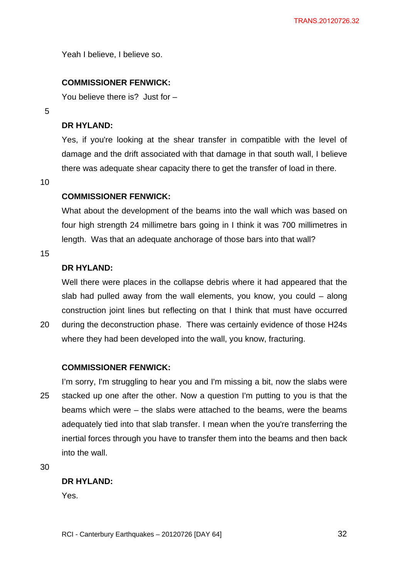Yeah I believe, I believe so.

# **COMMISSIONER FENWICK:**

You believe there is? Just for –

5

## **DR HYLAND:**

Yes, if you're looking at the shear transfer in compatible with the level of damage and the drift associated with that damage in that south wall, I believe there was adequate shear capacity there to get the transfer of load in there.

10

## **COMMISSIONER FENWICK:**

What about the development of the beams into the wall which was based on four high strength 24 millimetre bars going in I think it was 700 millimetres in length. Was that an adequate anchorage of those bars into that wall?

15

# **DR HYLAND:**

Well there were places in the collapse debris where it had appeared that the slab had pulled away from the wall elements, you know, you could – along construction joint lines but reflecting on that I think that must have occurred during the deconstruction phase. There was certainly evidence of those H24s

20

### **COMMISSIONER FENWICK:**

25 I'm sorry, I'm struggling to hear you and I'm missing a bit, now the slabs were stacked up one after the other. Now a question I'm putting to you is that the beams which were – the slabs were attached to the beams, were the beams adequately tied into that slab transfer. I mean when the you're transferring the inertial forces through you have to transfer them into the beams and then back into the wall.

where they had been developed into the wall, you know, fracturing.

30

### **DR HYLAND:**

Yes.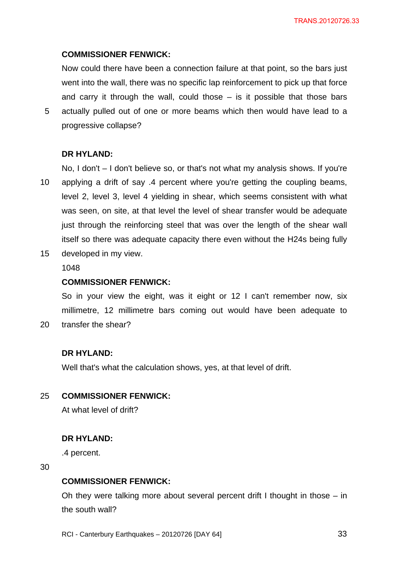# **COMMISSIONER FENWICK:**

Now could there have been a connection failure at that point, so the bars just went into the wall, there was no specific lap reinforcement to pick up that force and carry it through the wall, could those  $-$  is it possible that those bars actually pulled out of one or more beams which then would have lead to a progressive collapse?

# **DR HYLAND:**

5

10 No, I don't – I don't believe so, or that's not what my analysis shows. If you're applying a drift of say .4 percent where you're getting the coupling beams, level 2, level 3, level 4 yielding in shear, which seems consistent with what was seen, on site, at that level the level of shear transfer would be adequate just through the reinforcing steel that was over the length of the shear wall itself so there was adequate capacity there even without the H24s being fully

15 developed in my view.

1048

### **COMMISSIONER FENWICK:**

So in your view the eight, was it eight or 12 I can't remember now, six millimetre, 12 millimetre bars coming out would have been adequate to transfer the shear?

### **DR HYLAND:**

Well that's what the calculation shows, yes, at that level of drift.

#### 25 **COMMISSIONER FENWICK:**

At what level of drift?

### **DR HYLAND:**

.4 percent.

30

20

#### **COMMISSIONER FENWICK:**

Oh they were talking more about several percent drift I thought in those – in the south wall?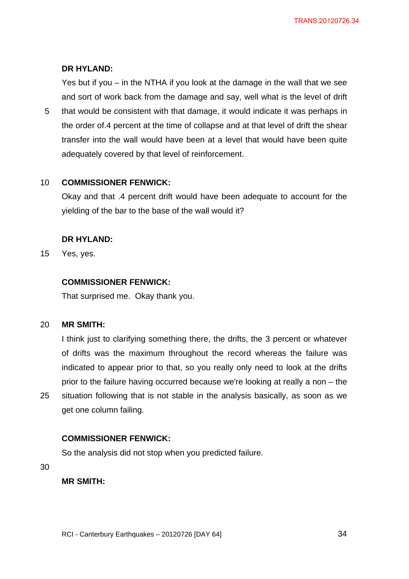# **DR HYLAND:**

Yes but if you – in the NTHA if you look at the damage in the wall that we see and sort of work back from the damage and say, well what is the level of drift

5 that would be consistent with that damage, it would indicate it was perhaps in the order of.4 percent at the time of collapse and at that level of drift the shear transfer into the wall would have been at a level that would have been quite adequately covered by that level of reinforcement.

#### 10 **COMMISSIONER FENWICK:**

Okay and that .4 percent drift would have been adequate to account for the yielding of the bar to the base of the wall would it?

# **DR HYLAND:**

15 Yes, yes.

# **COMMISSIONER FENWICK:**

That surprised me. Okay thank you.

#### 20 **MR SMITH:**

I think just to clarifying something there, the drifts, the 3 percent or whatever of drifts was the maximum throughout the record whereas the failure was indicated to appear prior to that, so you really only need to look at the drifts prior to the failure having occurred because we're looking at really a non – the situation following that is not stable in the analysis basically, as soon as we get one column failing.

# **COMMISSIONER FENWICK:**

So the analysis did not stop when you predicted failure.

30

25

# **MR SMITH:**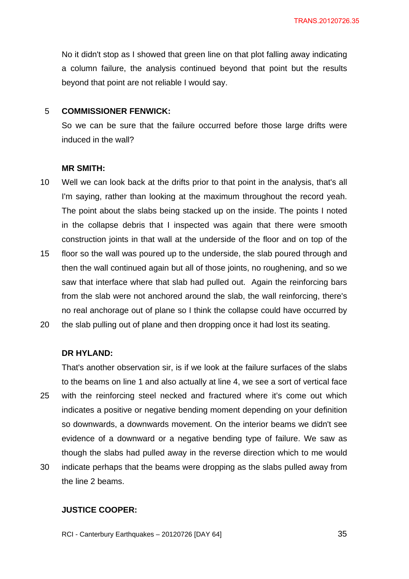No it didn't stop as I showed that green line on that plot falling away indicating a column failure, the analysis continued beyond that point but the results beyond that point are not reliable I would say.

#### 5 **COMMISSIONER FENWICK:**

So we can be sure that the failure occurred before those large drifts were induced in the wall?

#### **MR SMITH:**

- 10 Well we can look back at the drifts prior to that point in the analysis, that's all I'm saying, rather than looking at the maximum throughout the record yeah. The point about the slabs being stacked up on the inside. The points I noted in the collapse debris that I inspected was again that there were smooth construction joints in that wall at the underside of the floor and on top of the
- 15 floor so the wall was poured up to the underside, the slab poured through and then the wall continued again but all of those joints, no roughening, and so we saw that interface where that slab had pulled out. Again the reinforcing bars from the slab were not anchored around the slab, the wall reinforcing, there's no real anchorage out of plane so I think the collapse could have occurred by
- 20 the slab pulling out of plane and then dropping once it had lost its seating.

### **DR HYLAND:**

25 30 That's another observation sir, is if we look at the failure surfaces of the slabs to the beams on line 1 and also actually at line 4, we see a sort of vertical face with the reinforcing steel necked and fractured where it's come out which indicates a positive or negative bending moment depending on your definition so downwards, a downwards movement. On the interior beams we didn't see evidence of a downward or a negative bending type of failure. We saw as though the slabs had pulled away in the reverse direction which to me would indicate perhaps that the beams were dropping as the slabs pulled away from

the line 2 beams.

## **JUSTICE COOPER:**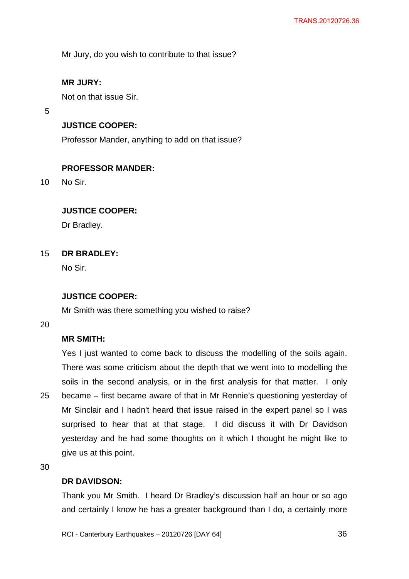Mr Jury, do you wish to contribute to that issue?

# **MR JURY:**

Not on that issue Sir.

5

# **JUSTICE COOPER:**

Professor Mander, anything to add on that issue?

# **PROFESSOR MANDER:**

10 No Sir.

# **JUSTICE COOPER:**

Dr Bradley.

#### 15 **DR BRADLEY:**

No Sir.

# **JUSTICE COOPER:**

Mr Smith was there something you wished to raise?

20

# **MR SMITH:**

25 Yes I just wanted to come back to discuss the modelling of the soils again. There was some criticism about the depth that we went into to modelling the soils in the second analysis, or in the first analysis for that matter. I only became – first became aware of that in Mr Rennie's questioning yesterday of Mr Sinclair and I hadn't heard that issue raised in the expert panel so I was surprised to hear that at that stage. I did discuss it with Dr Davidson yesterday and he had some thoughts on it which I thought he might like to give us at this point.

30

# **DR DAVIDSON:**

Thank you Mr Smith. I heard Dr Bradley's discussion half an hour or so ago and certainly I know he has a greater background than I do, a certainly more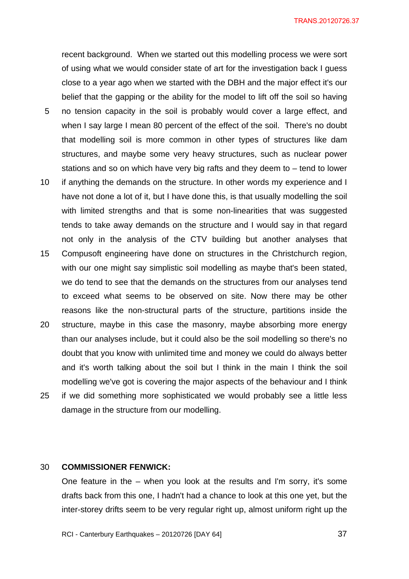recent background. When we started out this modelling process we were sort of using what we would consider state of art for the investigation back I guess close to a year ago when we started with the DBH and the major effect it's our belief that the gapping or the ability for the model to lift off the soil so having no tension capacity in the soil is probably would cover a large effect, and

- when I say large I mean 80 percent of the effect of the soil. There's no doubt that modelling soil is more common in other types of structures like dam structures, and maybe some very heavy structures, such as nuclear power stations and so on which have very big rafts and they deem to – tend to lower
- 10 if anything the demands on the structure. In other words my experience and I have not done a lot of it, but I have done this, is that usually modelling the soil with limited strengths and that is some non-linearities that was suggested tends to take away demands on the structure and I would say in that regard not only in the analysis of the CTV building but another analyses that
- 15 Compusoft engineering have done on structures in the Christchurch region, with our one might say simplistic soil modelling as maybe that's been stated, we do tend to see that the demands on the structures from our analyses tend to exceed what seems to be observed on site. Now there may be other reasons like the non-structural parts of the structure, partitions inside the
- 20 25 structure, maybe in this case the masonry, maybe absorbing more energy than our analyses include, but it could also be the soil modelling so there's no doubt that you know with unlimited time and money we could do always better and it's worth talking about the soil but I think in the main I think the soil modelling we've got is covering the major aspects of the behaviour and I think if we did something more sophisticated we would probably see a little less damage in the structure from our modelling.

#### 30 **COMMISSIONER FENWICK:**

5

One feature in the – when you look at the results and I'm sorry, it's some drafts back from this one, I hadn't had a chance to look at this one yet, but the inter-storey drifts seem to be very regular right up, almost uniform right up the

RCI - Canterbury Earthquakes – 20120726 [DAY 64]

 $\sim$  37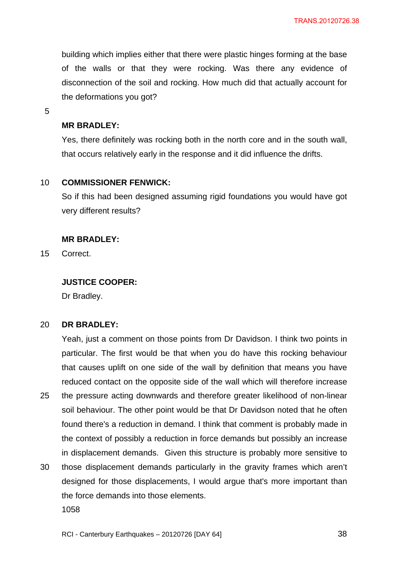building which implies either that there were plastic hinges forming at the base of the walls or that they were rocking. Was there any evidence of disconnection of the soil and rocking. How much did that actually account for the deformations you got?

5

## **MR BRADLEY:**

Yes, there definitely was rocking both in the north core and in the south wall, that occurs relatively early in the response and it did influence the drifts.

#### 10 **COMMISSIONER FENWICK:**

So if this had been designed assuming rigid foundations you would have got very different results?

## **MR BRADLEY:**

15 **Correct.** 

# **JUSTICE COOPER:**

Dr Bradley.

#### 20 **DR BRADLEY:**

25 Yeah, just a comment on those points from Dr Davidson. I think two points in particular. The first would be that when you do have this rocking behaviour that causes uplift on one side of the wall by definition that means you have reduced contact on the opposite side of the wall which will therefore increase the pressure acting downwards and therefore greater likelihood of non-linear soil behaviour. The other point would be that Dr Davidson noted that he often found there's a reduction in demand. I think that comment is probably made in the context of possibly a reduction in force demands but possibly an increase in displacement demands. Given this structure is probably more sensitive to

30 those displacement demands particularly in the gravity frames which aren't designed for those displacements, I would argue that's more important than the force demands into those elements. 1058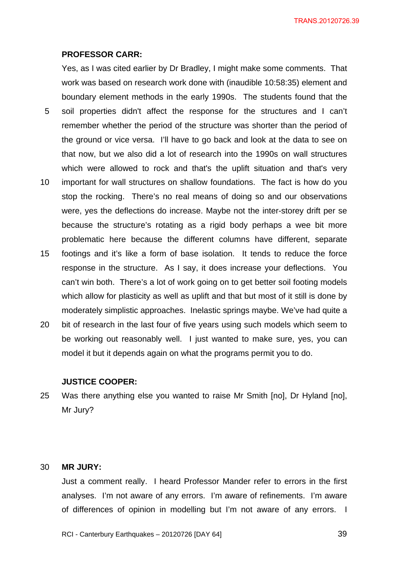### **PROFESSOR CARR:**

5

Yes, as I was cited earlier by Dr Bradley, I might make some comments. That work was based on research work done with (inaudible 10:58:35) element and boundary element methods in the early 1990s. The students found that the soil properties didn't affect the response for the structures and I can't remember whether the period of the structure was shorter than the period of the ground or vice versa. I'll have to go back and look at the data to see on

that now, but we also did a lot of research into the 1990s on wall structures

- 10 which were allowed to rock and that's the uplift situation and that's very important for wall structures on shallow foundations. The fact is how do you stop the rocking. There's no real means of doing so and our observations were, yes the deflections do increase. Maybe not the inter-storey drift per se because the structure's rotating as a rigid body perhaps a wee bit more problematic here because the different columns have different, separate
- 15 footings and it's like a form of base isolation. It tends to reduce the force response in the structure. As I say, it does increase your deflections. You can't win both. There's a lot of work going on to get better soil footing models which allow for plasticity as well as uplift and that but most of it still is done by moderately simplistic approaches. Inelastic springs maybe. We've had quite a
- 20 bit of research in the last four of five years using such models which seem to be working out reasonably well. I just wanted to make sure, yes, you can model it but it depends again on what the programs permit you to do.

### **JUSTICE COOPER:**

25 Was there anything else you wanted to raise Mr Smith [no], Dr Hyland [no], Mr Jury?

#### 30 **MR JURY:**

Just a comment really. I heard Professor Mander refer to errors in the first analyses. I'm not aware of any errors. I'm aware of refinements. I'm aware of differences of opinion in modelling but I'm not aware of any errors. I

RCI - Canterbury Earthquakes – 20120726 [DAY 64]

<u>29</u> and the set of the set of the set of the set of the set of the set of the set of the set of the set of the set of the set of the set of the set of the set of the set of the set of the set of the set of the set of the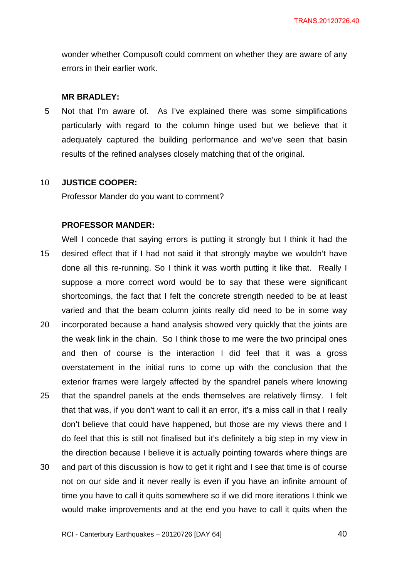wonder whether Compusoft could comment on whether they are aware of any errors in their earlier work.

## **MR BRADLEY:**

5 Not that I'm aware of. As I've explained there was some simplifications particularly with regard to the column hinge used but we believe that it adequately captured the building performance and we've seen that basin results of the refined analyses closely matching that of the original.

#### 10 **JUSTICE COOPER:**

Professor Mander do you want to comment?

## **PROFESSOR MANDER:**

15 Well I concede that saying errors is putting it strongly but I think it had the desired effect that if I had not said it that strongly maybe we wouldn't have done all this re-running. So I think it was worth putting it like that. Really I suppose a more correct word would be to say that these were significant shortcomings, the fact that I felt the concrete strength needed to be at least varied and that the beam column joints really did need to be in some way

- 20 incorporated because a hand analysis showed very quickly that the joints are the weak link in the chain. So I think those to me were the two principal ones and then of course is the interaction I did feel that it was a gross overstatement in the initial runs to come up with the conclusion that the exterior frames were largely affected by the spandrel panels where knowing
- 25 that the spandrel panels at the ends themselves are relatively flimsy. I felt that that was, if you don't want to call it an error, it's a miss call in that I really don't believe that could have happened, but those are my views there and I do feel that this is still not finalised but it's definitely a big step in my view in the direction because I believe it is actually pointing towards where things are
- 30 and part of this discussion is how to get it right and I see that time is of course not on our side and it never really is even if you have an infinite amount of time you have to call it quits somewhere so if we did more iterations I think we would make improvements and at the end you have to call it quits when the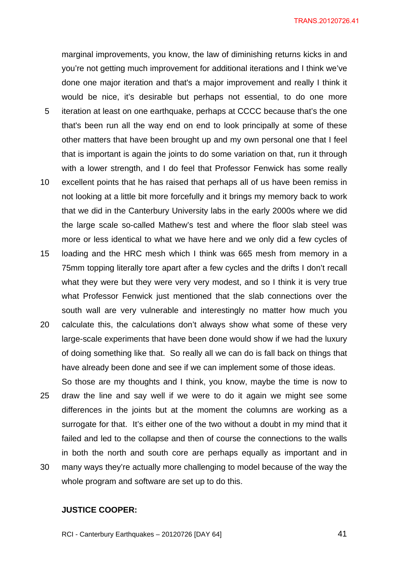TRANS.20120726.41

marginal improvements, you know, the law of diminishing returns kicks in and you're not getting much improvement for additional iterations and I think we've done one major iteration and that's a major improvement and really I think it would be nice, it's desirable but perhaps not essential, to do one more

- 5 iteration at least on one earthquake, perhaps at CCCC because that's the one that's been run all the way end on end to look principally at some of these other matters that have been brought up and my own personal one that I feel that is important is again the joints to do some variation on that, run it through with a lower strength, and I do feel that Professor Fenwick has some really
- 10 excellent points that he has raised that perhaps all of us have been remiss in not looking at a little bit more forcefully and it brings my memory back to work that we did in the Canterbury University labs in the early 2000s where we did the large scale so-called Mathew's test and where the floor slab steel was more or less identical to what we have here and we only did a few cycles of
- 15 loading and the HRC mesh which I think was 665 mesh from memory in a 75mm topping literally tore apart after a few cycles and the drifts I don't recall what they were but they were very very modest, and so I think it is very true what Professor Fenwick just mentioned that the slab connections over the south wall are very vulnerable and interestingly no matter how much you
- 20 calculate this, the calculations don't always show what some of these very large-scale experiments that have been done would show if we had the luxury of doing something like that. So really all we can do is fall back on things that have already been done and see if we can implement some of those ideas.
- 25 30 So those are my thoughts and I think, you know, maybe the time is now to draw the line and say well if we were to do it again we might see some differences in the joints but at the moment the columns are working as a surrogate for that. It's either one of the two without a doubt in my mind that it failed and led to the collapse and then of course the connections to the walls in both the north and south core are perhaps equally as important and in many ways they're actually more challenging to model because of the way the
- whole program and software are set up to do this.

## **JUSTICE COOPER:**

RCI - Canterbury Earthquakes – 20120726 [DAY 64]

41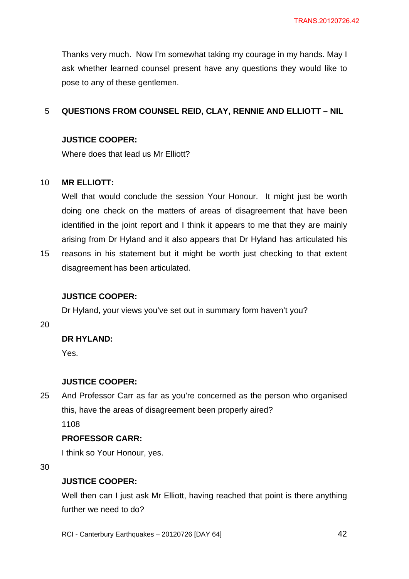Thanks very much. Now I'm somewhat taking my courage in my hands. May I ask whether learned counsel present have any questions they would like to pose to any of these gentlemen.

#### 5 **QUESTIONS FROM COUNSEL REID, CLAY, RENNIE AND ELLIOTT – NIL**

# **JUSTICE COOPER:**

Where does that lead us Mr Elliott?

#### 10 **MR ELLIOTT:**

Well that would conclude the session Your Honour. It might just be worth doing one check on the matters of areas of disagreement that have been identified in the joint report and I think it appears to me that they are mainly arising from Dr Hyland and it also appears that Dr Hyland has articulated his

15 reasons in his statement but it might be worth just checking to that extent disagreement has been articulated.

# **JUSTICE COOPER:**

Dr Hyland, your views you've set out in summary form haven't you?

20

# **DR HYLAND:**

Yes.

# **JUSTICE COOPER:**

25 And Professor Carr as far as you're concerned as the person who organised this, have the areas of disagreement been properly aired?

1108

# **PROFESSOR CARR:**

I think so Your Honour, yes.

30

# **JUSTICE COOPER:**

Well then can I just ask Mr Elliott, having reached that point is there anything further we need to do?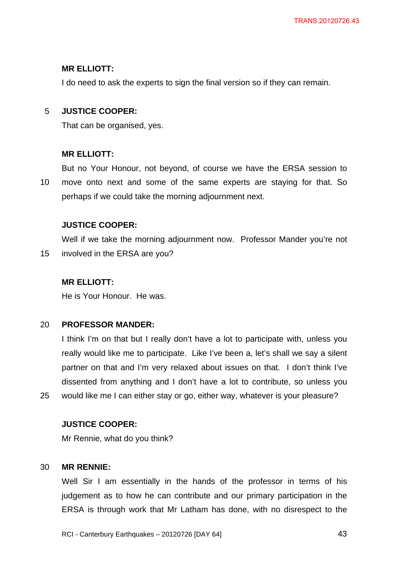## **MR ELLIOTT:**

I do need to ask the experts to sign the final version so if they can remain.

#### 5 **JUSTICE COOPER:**

That can be organised, yes.

## **MR ELLIOTT:**

10 But no Your Honour, not beyond, of course we have the ERSA session to move onto next and some of the same experts are staying for that. So perhaps if we could take the morning adjournment next.

## **JUSTICE COOPER:**

15 Well if we take the morning adjournment now. Professor Mander you're not involved in the ERSA are you?

## **MR ELLIOTT:**

He is Your Honour. He was.

#### 20 **PROFESSOR MANDER:**

I think I'm on that but I really don't have a lot to participate with, unless you really would like me to participate. Like I've been a, let's shall we say a silent partner on that and I'm very relaxed about issues on that. I don't think I've dissented from anything and I don't have a lot to contribute, so unless you would like me I can either stay or go, either way, whatever is your pleasure?

## **JUSTICE COOPER:**

Mr Rennie, what do you think?

#### 30 **MR RENNIE:**

25

Well Sir I am essentially in the hands of the professor in terms of his judgement as to how he can contribute and our primary participation in the ERSA is through work that Mr Latham has done, with no disrespect to the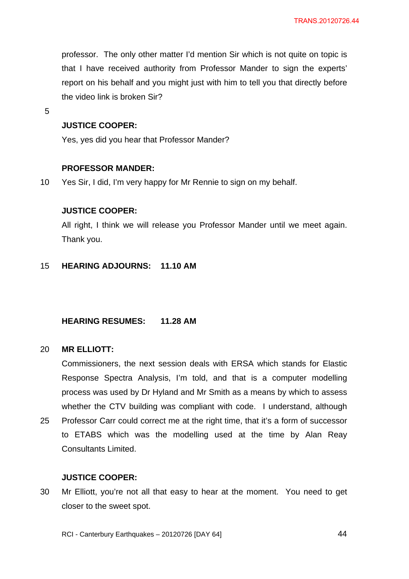professor. The only other matter I'd mention Sir which is not quite on topic is that I have received authority from Professor Mander to sign the experts' report on his behalf and you might just with him to tell you that directly before the video link is broken Sir?

5

# **JUSTICE COOPER:**

Yes, yes did you hear that Professor Mander?

## **PROFESSOR MANDER:**

10 Yes Sir, I did, I'm very happy for Mr Rennie to sign on my behalf.

## **JUSTICE COOPER:**

All right, I think we will release you Professor Mander until we meet again. Thank you.

#### 15 **HEARING ADJOURNS: 11.10 AM**

# **HEARING RESUMES: 11.28 AM**

#### 20 **MR ELLIOTT:**

Commissioners, the next session deals with ERSA which stands for Elastic Response Spectra Analysis, I'm told, and that is a computer modelling process was used by Dr Hyland and Mr Smith as a means by which to assess whether the CTV building was compliant with code. I understand, although

25 Professor Carr could correct me at the right time, that it's a form of successor to ETABS which was the modelling used at the time by Alan Reay Consultants Limited.

# **JUSTICE COOPER:**

30 Mr Elliott, you're not all that easy to hear at the moment. You need to get closer to the sweet spot.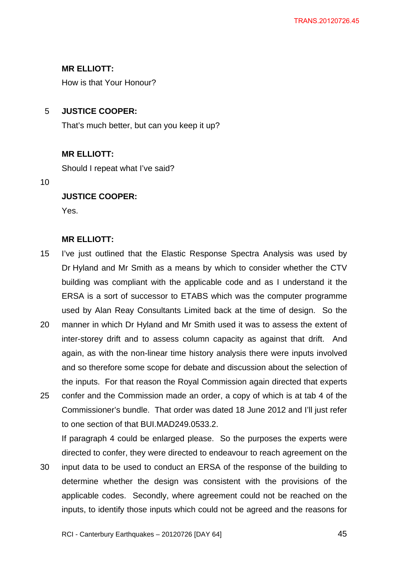# **MR ELLIOTT:**

How is that Your Honour?

#### 5 **JUSTICE COOPER:**

That's much better, but can you keep it up?

# **MR ELLIOTT:**

Should I repeat what I've said?

10

# **JUSTICE COOPER:**

Yes.

# **MR ELLIOTT:**

- 15 I've just outlined that the Elastic Response Spectra Analysis was used by Dr Hyland and Mr Smith as a means by which to consider whether the CTV building was compliant with the applicable code and as I understand it the ERSA is a sort of successor to ETABS which was the computer programme used by Alan Reay Consultants Limited back at the time of design. So the
- 20 manner in which Dr Hyland and Mr Smith used it was to assess the extent of inter-storey drift and to assess column capacity as against that drift. And again, as with the non-linear time history analysis there were inputs involved and so therefore some scope for debate and discussion about the selection of the inputs. For that reason the Royal Commission again directed that experts
- 25 confer and the Commission made an order, a copy of which is at tab 4 of the Commissioner's bundle. That order was dated 18 June 2012 and I'll just refer to one section of that BUI.MAD249.0533.2.

If paragraph 4 could be enlarged please. So the purposes the experts were directed to confer, they were directed to endeavour to reach agreement on the

30 input data to be used to conduct an ERSA of the response of the building to determine whether the design was consistent with the provisions of the applicable codes. Secondly, where agreement could not be reached on the inputs, to identify those inputs which could not be agreed and the reasons for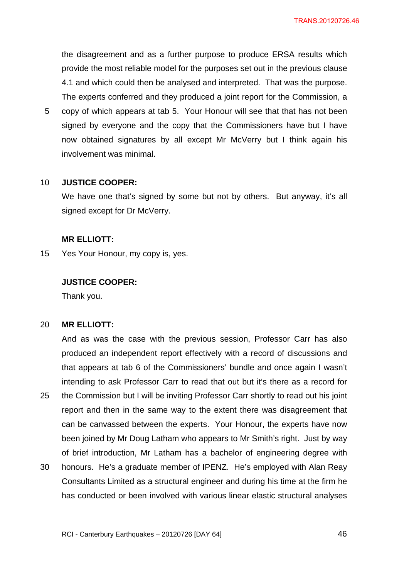the disagreement and as a further purpose to produce ERSA results which provide the most reliable model for the purposes set out in the previous clause 4.1 and which could then be analysed and interpreted. That was the purpose. The experts conferred and they produced a joint report for the Commission, a

5 copy of which appears at tab 5. Your Honour will see that that has not been signed by everyone and the copy that the Commissioners have but I have now obtained signatures by all except Mr McVerry but I think again his involvement was minimal.

#### 10 **JUSTICE COOPER:**

We have one that's signed by some but not by others. But anyway, it's all signed except for Dr McVerry.

## **MR ELLIOTT:**

15 Yes Your Honour, my copy is, yes.

## **JUSTICE COOPER:**

Thank you.

#### 20 **MR ELLIOTT:**

25 And as was the case with the previous session, Professor Carr has also produced an independent report effectively with a record of discussions and that appears at tab 6 of the Commissioners' bundle and once again I wasn't intending to ask Professor Carr to read that out but it's there as a record for the Commission but I will be inviting Professor Carr shortly to read out his joint report and then in the same way to the extent there was disagreement that can be canvassed between the experts. Your Honour, the experts have now been joined by Mr Doug Latham who appears to Mr Smith's right. Just by way of brief introduction, Mr Latham has a bachelor of engineering degree with

30 honours. He's a graduate member of IPENZ. He's employed with Alan Reay Consultants Limited as a structural engineer and during his time at the firm he has conducted or been involved with various linear elastic structural analyses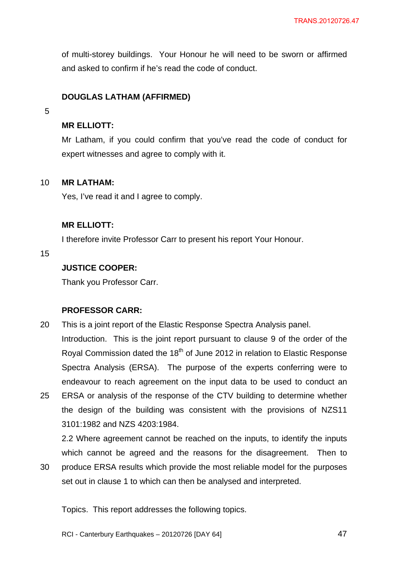of multi-storey buildings. Your Honour he will need to be sworn or affirmed and asked to confirm if he's read the code of conduct.

# **DOUGLAS LATHAM (AFFIRMED)**

5

# **MR ELLIOTT:**

Mr Latham, if you could confirm that you've read the code of conduct for expert witnesses and agree to comply with it.

#### 10 **MR LATHAM:**

Yes, I've read it and I agree to comply.

# **MR ELLIOTT:**

I therefore invite Professor Carr to present his report Your Honour.

15

# **JUSTICE COOPER:**

Thank you Professor Carr.

# **PROFESSOR CARR:**

- 20 This is a joint report of the Elastic Response Spectra Analysis panel. Introduction. This is the joint report pursuant to clause 9 of the order of the Royal Commission dated the 18<sup>th</sup> of June 2012 in relation to Elastic Response Spectra Analysis (ERSA). The purpose of the experts conferring were to endeavour to reach agreement on the input data to be used to conduct an
- 25 ERSA or analysis of the response of the CTV building to determine whether the design of the building was consistent with the provisions of NZS11 3101:1982 and NZS 4203:1984.

2.2 Where agreement cannot be reached on the inputs, to identify the inputs which cannot be agreed and the reasons for the disagreement. Then to

30 produce ERSA results which provide the most reliable model for the purposes set out in clause 1 to which can then be analysed and interpreted.

Topics. This report addresses the following topics.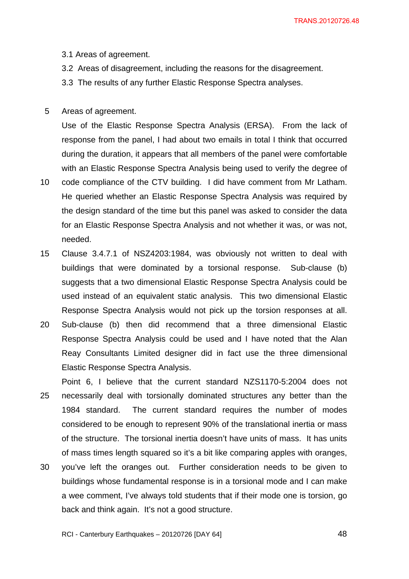- 3.1 Areas of agreement.
- 3.2 Areas of disagreement, including the reasons for the disagreement.
- 3.3 The results of any further Elastic Response Spectra analyses.
- 5 Areas of agreement.

Use of the Elastic Response Spectra Analysis (ERSA). From the lack of response from the panel, I had about two emails in total I think that occurred during the duration, it appears that all members of the panel were comfortable with an Elastic Response Spectra Analysis being used to verify the degree of

- 10 code compliance of the CTV building. I did have comment from Mr Latham. He queried whether an Elastic Response Spectra Analysis was required by the design standard of the time but this panel was asked to consider the data for an Elastic Response Spectra Analysis and not whether it was, or was not, needed.
- 15 Clause 3.4.7.1 of NSZ4203:1984, was obviously not written to deal with buildings that were dominated by a torsional response. Sub-clause (b) suggests that a two dimensional Elastic Response Spectra Analysis could be used instead of an equivalent static analysis. This two dimensional Elastic Response Spectra Analysis would not pick up the torsion responses at all.
- 20 Sub-clause (b) then did recommend that a three dimensional Elastic Response Spectra Analysis could be used and I have noted that the Alan Reay Consultants Limited designer did in fact use the three dimensional Elastic Response Spectra Analysis.
- 25 Point 6, I believe that the current standard NZS1170-5:2004 does not necessarily deal with torsionally dominated structures any better than the 1984 standard. The current standard requires the number of modes considered to be enough to represent 90% of the translational inertia or mass of the structure. The torsional inertia doesn't have units of mass. It has units of mass times length squared so it's a bit like comparing apples with oranges,
- 30 you've left the oranges out. Further consideration needs to be given to buildings whose fundamental response is in a torsional mode and I can make a wee comment, I've always told students that if their mode one is torsion, go back and think again. It's not a good structure.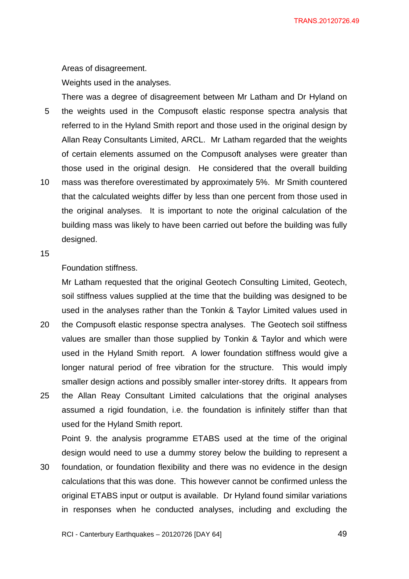Areas of disagreement.

Weights used in the analyses.

5 10 There was a degree of disagreement between Mr Latham and Dr Hyland on the weights used in the Compusoft elastic response spectra analysis that referred to in the Hyland Smith report and those used in the original design by Allan Reay Consultants Limited, ARCL. Mr Latham regarded that the weights of certain elements assumed on the Compusoft analyses were greater than those used in the original design. He considered that the overall building mass was therefore overestimated by approximately 5%. Mr Smith countered that the calculated weights differ by less than one percent from those used in the original analyses. It is important to note the original calculation of the building mass was likely to have been carried out before the building was fully designed.

15

# Foundation stiffness.

Mr Latham requested that the original Geotech Consulting Limited, Geotech, soil stiffness values supplied at the time that the building was designed to be used in the analyses rather than the Tonkin & Taylor Limited values used in

- 20 the Compusoft elastic response spectra analyses. The Geotech soil stiffness values are smaller than those supplied by Tonkin & Taylor and which were used in the Hyland Smith report. A lower foundation stiffness would give a longer natural period of free vibration for the structure. This would imply smaller design actions and possibly smaller inter-storey drifts. It appears from
- 25 the Allan Reay Consultant Limited calculations that the original analyses assumed a rigid foundation, i.e. the foundation is infinitely stiffer than that used for the Hyland Smith report.

Point 9. the analysis programme ETABS used at the time of the original design would need to use a dummy storey below the building to represent a

30 foundation, or foundation flexibility and there was no evidence in the design calculations that this was done. This however cannot be confirmed unless the original ETABS input or output is available. Dr Hyland found similar variations in responses when he conducted analyses, including and excluding the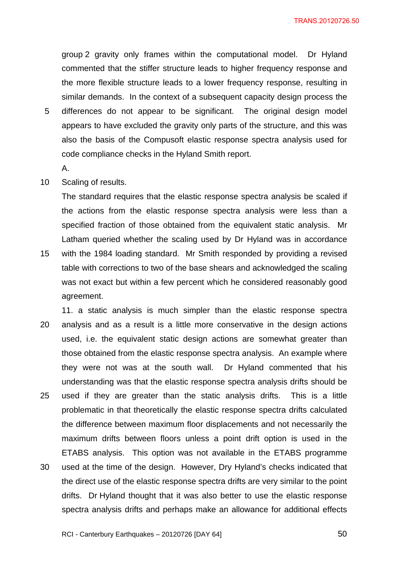TRANS.20120726.50

group 2 gravity only frames within the computational model. Dr Hyland commented that the stiffer structure leads to higher frequency response and the more flexible structure leads to a lower frequency response, resulting in similar demands. In the context of a subsequent capacity design process the

- 5 differences do not appear to be significant. The original design model appears to have excluded the gravity only parts of the structure, and this was also the basis of the Compusoft elastic response spectra analysis used for code compliance checks in the Hyland Smith report.
	- A.
- 10 Scaling of results.

The standard requires that the elastic response spectra analysis be scaled if the actions from the elastic response spectra analysis were less than a specified fraction of those obtained from the equivalent static analysis. Mr Latham queried whether the scaling used by Dr Hyland was in accordance

- 15 with the 1984 loading standard. Mr Smith responded by providing a revised table with corrections to two of the base shears and acknowledged the scaling was not exact but within a few percent which he considered reasonably good agreement.
- 20 25 30 11. a static analysis is much simpler than the elastic response spectra analysis and as a result is a little more conservative in the design actions used, i.e. the equivalent static design actions are somewhat greater than those obtained from the elastic response spectra analysis. An example where they were not was at the south wall. Dr Hyland commented that his understanding was that the elastic response spectra analysis drifts should be used if they are greater than the static analysis drifts. This is a little problematic in that theoretically the elastic response spectra drifts calculated the difference between maximum floor displacements and not necessarily the maximum drifts between floors unless a point drift option is used in the ETABS analysis. This option was not available in the ETABS programme used at the time of the design. However, Dry Hyland's checks indicated that the direct use of the elastic response spectra drifts are very similar to the point drifts. Dr Hyland thought that it was also better to use the elastic response spectra analysis drifts and perhaps make an allowance for additional effects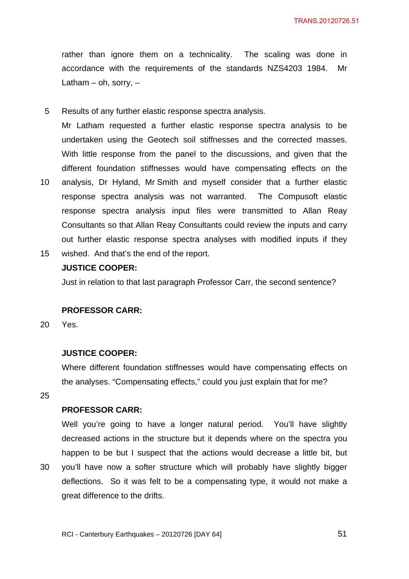rather than ignore them on a technicality. The scaling was done in accordance with the requirements of the standards NZS4203 1984. Mr Latham – oh, sorry,  $-$ 

5 Results of any further elastic response spectra analysis.

Mr Latham requested a further elastic response spectra analysis to be undertaken using the Geotech soil stiffnesses and the corrected masses. With little response from the panel to the discussions, and given that the different foundation stiffnesses would have compensating effects on the

- 10 analysis, Dr Hyland, Mr Smith and myself consider that a further elastic response spectra analysis was not warranted. The Compusoft elastic response spectra analysis input files were transmitted to Allan Reay Consultants so that Allan Reay Consultants could review the inputs and carry out further elastic response spectra analyses with modified inputs if they
- 15 wished. And that's the end of the report.

# **JUSTICE COOPER:**

Just in relation to that last paragraph Professor Carr, the second sentence?

### **PROFESSOR CARR:**

20 Yes.

## **JUSTICE COOPER:**

Where different foundation stiffnesses would have compensating effects on the analyses. "Compensating effects," could you just explain that for me?

25

30

## **PROFESSOR CARR:**

Well you're going to have a longer natural period. You'll have slightly decreased actions in the structure but it depends where on the spectra you happen to be but I suspect that the actions would decrease a little bit, but you'll have now a softer structure which will probably have slightly bigger deflections. So it was felt to be a compensating type, it would not make a great difference to the drifts.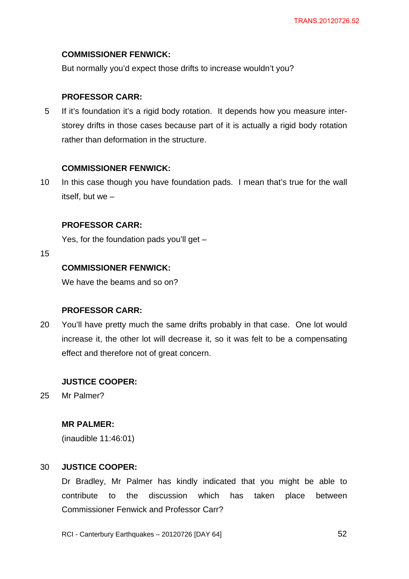## **COMMISSIONER FENWICK:**

But normally you'd expect those drifts to increase wouldn't you?

## **PROFESSOR CARR:**

5 If it's foundation it's a rigid body rotation. It depends how you measure interstorey drifts in those cases because part of it is actually a rigid body rotation rather than deformation in the structure.

## **COMMISSIONER FENWICK:**

10 In this case though you have foundation pads. I mean that's true for the wall itself, but we –

## **PROFESSOR CARR:**

Yes, for the foundation pads you'll get –

15

# **COMMISSIONER FENWICK:**

We have the beams and so on?

## **PROFESSOR CARR:**

20 You'll have pretty much the same drifts probably in that case. One lot would increase it, the other lot will decrease it, so it was felt to be a compensating effect and therefore not of great concern.

# **JUSTICE COOPER:**

25 Mr Palmer?

## **MR PALMER:**

(inaudible 11:46:01)

#### 30 **JUSTICE COOPER:**

Dr Bradley, Mr Palmer has kindly indicated that you might be able to contribute to the discussion which has taken place between Commissioner Fenwick and Professor Carr?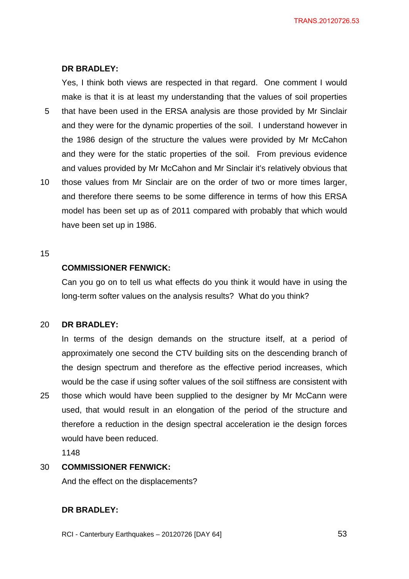## **DR BRADLEY:**

Yes, I think both views are respected in that regard. One comment I would make is that it is at least my understanding that the values of soil properties

- 5 that have been used in the ERSA analysis are those provided by Mr Sinclair and they were for the dynamic properties of the soil. I understand however in the 1986 design of the structure the values were provided by Mr McCahon and they were for the static properties of the soil. From previous evidence and values provided by Mr McCahon and Mr Sinclair it's relatively obvious that
- 10 those values from Mr Sinclair are on the order of two or more times larger, and therefore there seems to be some difference in terms of how this ERSA model has been set up as of 2011 compared with probably that which would have been set up in 1986.

### 15

25

# **COMMISSIONER FENWICK:**

Can you go on to tell us what effects do you think it would have in using the long-term softer values on the analysis results? What do you think?

#### 20 **DR BRADLEY:**

In terms of the design demands on the structure itself, at a period of approximately one second the CTV building sits on the descending branch of the design spectrum and therefore as the effective period increases, which would be the case if using softer values of the soil stiffness are consistent with those which would have been supplied to the designer by Mr McCann were used, that would result in an elongation of the period of the structure and

therefore a reduction in the design spectral acceleration ie the design forces would have been reduced.

1148

#### 30 **COMMISSIONER FENWICK:**

And the effect on the displacements?

## **DR BRADLEY:**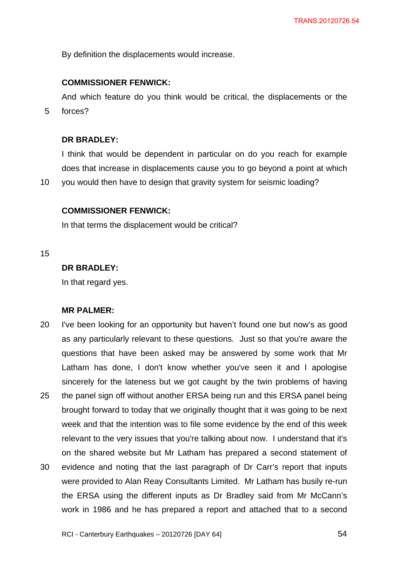By definition the displacements would increase.

## **COMMISSIONER FENWICK:**

And which feature do you think would be critical, the displacements or the forces?

5

# **DR BRADLEY:**

I think that would be dependent in particular on do you reach for example does that increase in displacements cause you to go beyond a point at which

10 you would then have to design that gravity system for seismic loading?

## **COMMISSIONER FENWICK:**

In that terms the displacement would be critical?

15

# **DR BRADLEY:**

In that regard yes.

# **MR PALMER:**

20 25 30 I've been looking for an opportunity but haven't found one but now's as good as any particularly relevant to these questions. Just so that you're aware the questions that have been asked may be answered by some work that Mr Latham has done, I don't know whether you've seen it and I apologise sincerely for the lateness but we got caught by the twin problems of having the panel sign off without another ERSA being run and this ERSA panel being brought forward to today that we originally thought that it was going to be next week and that the intention was to file some evidence by the end of this week relevant to the very issues that you're talking about now. I understand that it's on the shared website but Mr Latham has prepared a second statement of evidence and noting that the last paragraph of Dr Carr's report that inputs were provided to Alan Reay Consultants Limited. Mr Latham has busily re-run the ERSA using the different inputs as Dr Bradley said from Mr McCann's

work in 1986 and he has prepared a report and attached that to a second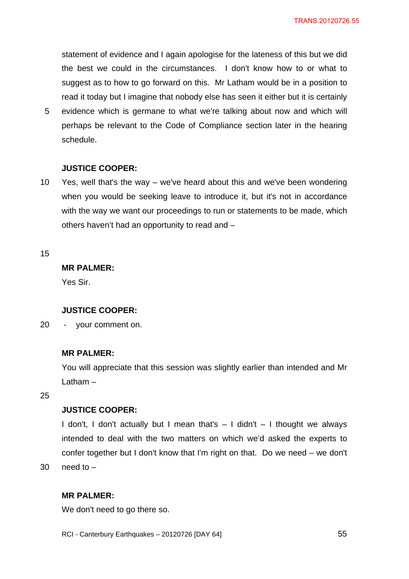statement of evidence and I again apologise for the lateness of this but we did the best we could in the circumstances. I don't know how to or what to suggest as to how to go forward on this. Mr Latham would be in a position to read it today but I imagine that nobody else has seen it either but it is certainly

5 evidence which is germane to what we're talking about now and which will perhaps be relevant to the Code of Compliance section later in the hearing schedule.

## **JUSTICE COOPER:**

10 Yes, well that's the way – we've heard about this and we've been wondering when you would be seeking leave to introduce it, but it's not in accordance with the way we want our proceedings to run or statements to be made, which others haven't had an opportunity to read and –

15

## **MR PALMER:**

Yes Sir.

### **JUSTICE COOPER:**

20 - your comment on.

# **MR PALMER:**

You will appreciate that this session was slightly earlier than intended and Mr Latham –

25

# **JUSTICE COOPER:**

I don't, I don't actually but I mean that's  $-$  I didn't  $-$  I thought we always intended to deal with the two matters on which we'd asked the experts to confer together but I don't know that I'm right on that. Do we need – we don't need to –

30

## **MR PALMER:**

We don't need to go there so.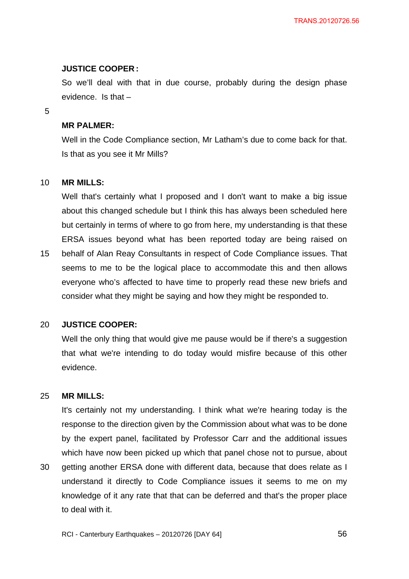### **JUSTICE COOPER :**

So we'll deal with that in due course, probably during the design phase evidence. Is that –

5

### **MR PALMER:**

Well in the Code Compliance section, Mr Latham's due to come back for that. Is that as you see it Mr Mills?

#### 10 **MR MILLS:**

Well that's certainly what I proposed and I don't want to make a big issue about this changed schedule but I think this has always been scheduled here but certainly in terms of where to go from here, my understanding is that these ERSA issues beyond what has been reported today are being raised on

15 behalf of Alan Reay Consultants in respect of Code Compliance issues. That seems to me to be the logical place to accommodate this and then allows everyone who's affected to have time to properly read these new briefs and consider what they might be saying and how they might be responded to.

#### 20 **JUSTICE COOPER:**

Well the only thing that would give me pause would be if there's a suggestion that what we're intending to do today would misfire because of this other evidence.

#### 25 **MR MILLS:**

It's certainly not my understanding. I think what we're hearing today is the response to the direction given by the Commission about what was to be done by the expert panel, facilitated by Professor Carr and the additional issues which have now been picked up which that panel chose not to pursue, about

30 getting another ERSA done with different data, because that does relate as I understand it directly to Code Compliance issues it seems to me on my knowledge of it any rate that that can be deferred and that's the proper place to deal with it.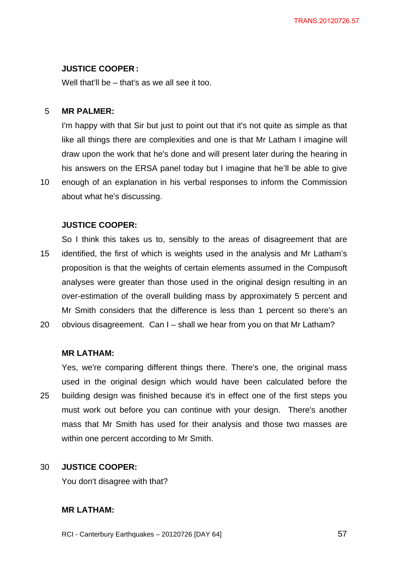### **JUSTICE COOPER :**

Well that'll be – that's as we all see it too.

#### 5 **MR PALMER:**

I'm happy with that Sir but just to point out that it's not quite as simple as that like all things there are complexities and one is that Mr Latham I imagine will draw upon the work that he's done and will present later during the hearing in his answers on the ERSA panel today but I imagine that he'll be able to give

10 enough of an explanation in his verbal responses to inform the Commission about what he's discussing.

## **JUSTICE COOPER:**

15 So I think this takes us to, sensibly to the areas of disagreement that are identified, the first of which is weights used in the analysis and Mr Latham's proposition is that the weights of certain elements assumed in the Compusoft analyses were greater than those used in the original design resulting in an over-estimation of the overall building mass by approximately 5 percent and Mr Smith considers that the difference is less than 1 percent so there's an

20 obvious disagreement. Can I – shall we hear from you on that Mr Latham?

## **MR LATHAM:**

25 Yes, we're comparing different things there. There's one, the original mass used in the original design which would have been calculated before the building design was finished because it's in effect one of the first steps you must work out before you can continue with your design. There's another mass that Mr Smith has used for their analysis and those two masses are within one percent according to Mr Smith.

#### 30 **JUSTICE COOPER:**

You don't disagree with that?

## **MR LATHAM:**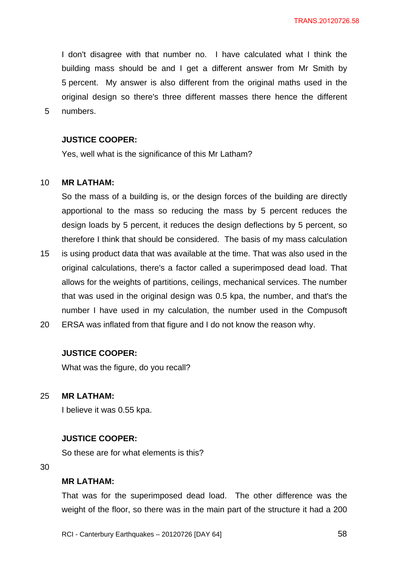I don't disagree with that number no. I have calculated what I think the building mass should be and I get a different answer from Mr Smith by 5 percent. My answer is also different from the original maths used in the original design so there's three different masses there hence the different numbers.

### **JUSTICE COOPER:**

Yes, well what is the significance of this Mr Latham?

#### 10 **MR LATHAM:**

5

So the mass of a building is, or the design forces of the building are directly apportional to the mass so reducing the mass by 5 percent reduces the design loads by 5 percent, it reduces the design deflections by 5 percent, so therefore I think that should be considered. The basis of my mass calculation

- 15 is using product data that was available at the time. That was also used in the original calculations, there's a factor called a superimposed dead load. That allows for the weights of partitions, ceilings, mechanical services. The number that was used in the original design was 0.5 kpa, the number, and that's the number I have used in my calculation, the number used in the Compusoft
- 20 ERSA was inflated from that figure and I do not know the reason why.

## **JUSTICE COOPER:**

What was the figure, do you recall?

25 **MR LATHAM:** 

I believe it was 0.55 kpa.

### **JUSTICE COOPER:**

So these are for what elements is this?

30

### **MR LATHAM:**

That was for the superimposed dead load. The other difference was the weight of the floor, so there was in the main part of the structure it had a 200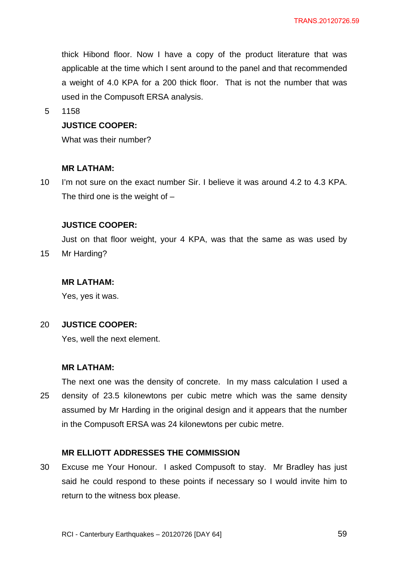thick Hibond floor. Now I have a copy of the product literature that was applicable at the time which I sent around to the panel and that recommended a weight of 4.0 KPA for a 200 thick floor. That is not the number that was used in the Compusoft ERSA analysis.

5 1158

# **JUSTICE COOPER:**

What was their number?

## **MR LATHAM:**

10 I'm not sure on the exact number Sir. I believe it was around 4.2 to 4.3 KPA. The third one is the weight of  $-$ 

## **JUSTICE COOPER:**

Just on that floor weight, your 4 KPA, was that the same as was used by

15 Mr Harding?

## **MR LATHAM:**

Yes, yes it was.

#### 20 **JUSTICE COOPER:**

Yes, well the next element.

## **MR LATHAM:**

25 The next one was the density of concrete. In my mass calculation I used a density of 23.5 kilonewtons per cubic metre which was the same density assumed by Mr Harding in the original design and it appears that the number in the Compusoft ERSA was 24 kilonewtons per cubic metre.

## **MR ELLIOTT ADDRESSES THE COMMISSION**

30 Excuse me Your Honour. I asked Compusoft to stay. Mr Bradley has just said he could respond to these points if necessary so I would invite him to return to the witness box please.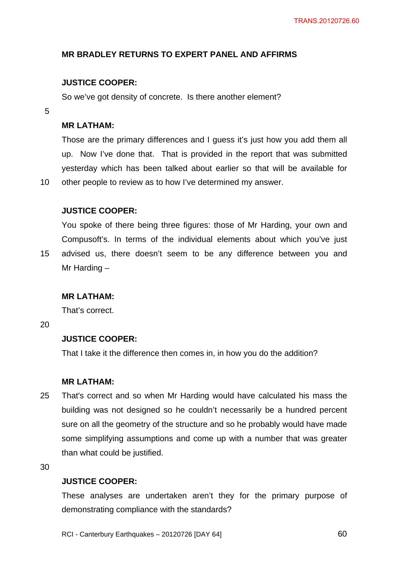# **MR BRADLEY RETURNS TO EXPERT PANEL AND AFFIRMS**

# **JUSTICE COOPER:**

So we've got density of concrete. Is there another element?

5

10

15

## **MR LATHAM:**

Those are the primary differences and I guess it's just how you add them all up. Now I've done that. That is provided in the report that was submitted yesterday which has been talked about earlier so that will be available for other people to review as to how I've determined my answer.

## **JUSTICE COOPER:**

You spoke of there being three figures: those of Mr Harding, your own and Compusoft's. In terms of the individual elements about which you've just advised us, there doesn't seem to be any difference between you and Mr Harding –

## **MR LATHAM:**

That's correct.

20

## **JUSTICE COOPER:**

That I take it the difference then comes in, in how you do the addition?

# **MR LATHAM:**

25 That's correct and so when Mr Harding would have calculated his mass the building was not designed so he couldn't necessarily be a hundred percent sure on all the geometry of the structure and so he probably would have made some simplifying assumptions and come up with a number that was greater than what could be justified.

30

## **JUSTICE COOPER:**

These analyses are undertaken aren't they for the primary purpose of demonstrating compliance with the standards?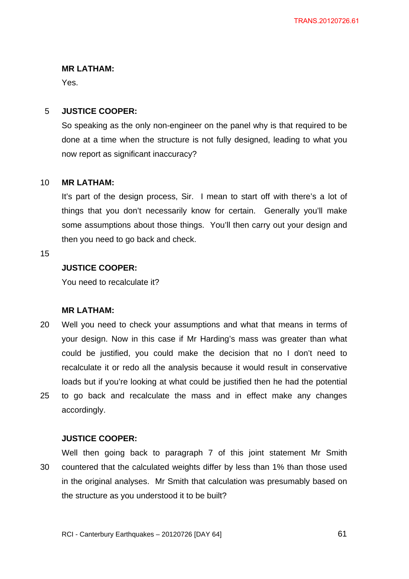## **MR LATHAM:**

Yes.

#### 5 **JUSTICE COOPER:**

So speaking as the only non-engineer on the panel why is that required to be done at a time when the structure is not fully designed, leading to what you now report as significant inaccuracy?

#### 10 **MR LATHAM:**

It's part of the design process, Sir. I mean to start off with there's a lot of things that you don't necessarily know for certain. Generally you'll make some assumptions about those things. You'll then carry out your design and then you need to go back and check.

15

# **JUSTICE COOPER:**

You need to recalculate it?

# **MR LATHAM:**

20 25 Well you need to check your assumptions and what that means in terms of your design. Now in this case if Mr Harding's mass was greater than what could be justified, you could make the decision that no I don't need to recalculate it or redo all the analysis because it would result in conservative loads but if you're looking at what could be justified then he had the potential to go back and recalculate the mass and in effect make any changes accordingly.

# **JUSTICE COOPER:**

30 Well then going back to paragraph 7 of this joint statement Mr Smith countered that the calculated weights differ by less than 1% than those used in the original analyses. Mr Smith that calculation was presumably based on the structure as you understood it to be built?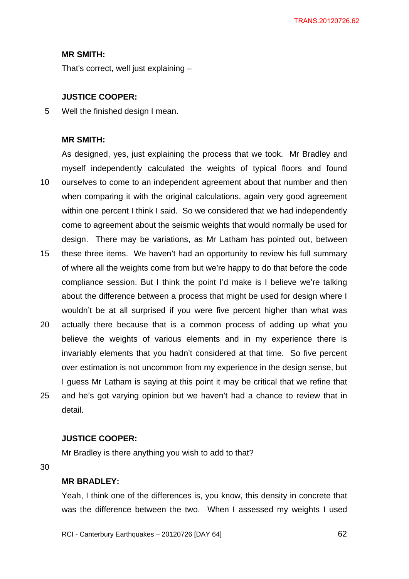### **MR SMITH:**

That's correct, well just explaining –

## **JUSTICE COOPER:**

5 Well the finished design I mean.

## **MR SMITH:**

10 15 As designed, yes, just explaining the process that we took. Mr Bradley and myself independently calculated the weights of typical floors and found ourselves to come to an independent agreement about that number and then when comparing it with the original calculations, again very good agreement within one percent I think I said. So we considered that we had independently come to agreement about the seismic weights that would normally be used for design. There may be variations, as Mr Latham has pointed out, between these three items. We haven't had an opportunity to review his full summary

- of where all the weights come from but we're happy to do that before the code compliance session. But I think the point I'd make is I believe we're talking about the difference between a process that might be used for design where I wouldn't be at all surprised if you were five percent higher than what was
- 20 25 actually there because that is a common process of adding up what you believe the weights of various elements and in my experience there is invariably elements that you hadn't considered at that time. So five percent over estimation is not uncommon from my experience in the design sense, but I guess Mr Latham is saying at this point it may be critical that we refine that and he's got varying opinion but we haven't had a chance to review that in detail.

## **JUSTICE COOPER:**

Mr Bradley is there anything you wish to add to that?

30

### **MR BRADLEY:**

Yeah, I think one of the differences is, you know, this density in concrete that was the difference between the two. When I assessed my weights I used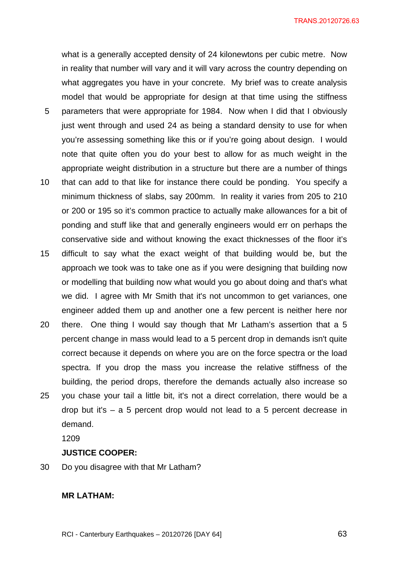TRANS.20120726.63

what is a generally accepted density of 24 kilonewtons per cubic metre. Now in reality that number will vary and it will vary across the country depending on what aggregates you have in your concrete. My brief was to create analysis model that would be appropriate for design at that time using the stiffness

- 5 parameters that were appropriate for 1984. Now when I did that I obviously just went through and used 24 as being a standard density to use for when you're assessing something like this or if you're going about design. I would note that quite often you do your best to allow for as much weight in the appropriate weight distribution in a structure but there are a number of things
- 10 that can add to that like for instance there could be ponding. You specify a minimum thickness of slabs, say 200mm. In reality it varies from 205 to 210 or 200 or 195 so it's common practice to actually make allowances for a bit of ponding and stuff like that and generally engineers would err on perhaps the conservative side and without knowing the exact thicknesses of the floor it's
- 15 difficult to say what the exact weight of that building would be, but the approach we took was to take one as if you were designing that building now or modelling that building now what would you go about doing and that's what we did. I agree with Mr Smith that it's not uncommon to get variances, one engineer added them up and another one a few percent is neither here nor
- 20 25 there. One thing I would say though that Mr Latham's assertion that a 5 percent change in mass would lead to a 5 percent drop in demands isn't quite correct because it depends on where you are on the force spectra or the load spectra. If you drop the mass you increase the relative stiffness of the building, the period drops, therefore the demands actually also increase so you chase your tail a little bit, it's not a direct correlation, there would be a drop but it's – a 5 percent drop would not lead to a 5 percent decrease in

demand.

1209

## **JUSTICE COOPER:**

30 Do you disagree with that Mr Latham?

## **MR LATHAM:**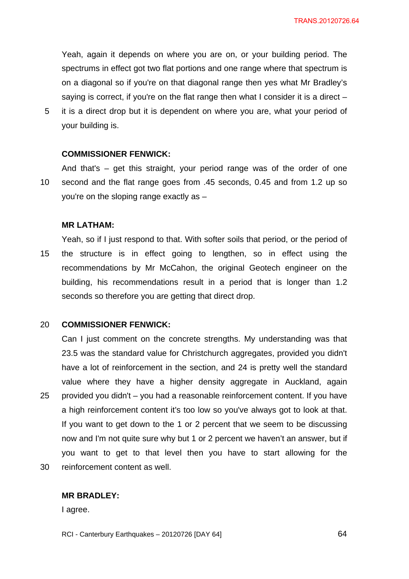Yeah, again it depends on where you are on, or your building period. The spectrums in effect got two flat portions and one range where that spectrum is on a diagonal so if you're on that diagonal range then yes what Mr Bradley's saying is correct, if you're on the flat range then what I consider it is a direct –

5 it is a direct drop but it is dependent on where you are, what your period of your building is.

### **COMMISSIONER FENWICK:**

10 And that's – get this straight, your period range was of the order of one second and the flat range goes from .45 seconds, 0.45 and from 1.2 up so you're on the sloping range exactly as –

### **MR LATHAM:**

15 Yeah, so if I just respond to that. With softer soils that period, or the period of the structure is in effect going to lengthen, so in effect using the recommendations by Mr McCahon, the original Geotech engineer on the building, his recommendations result in a period that is longer than 1.2 seconds so therefore you are getting that direct drop.

#### 20 **COMMISSIONER FENWICK:**

25 30 Can I just comment on the concrete strengths. My understanding was that 23.5 was the standard value for Christchurch aggregates, provided you didn't have a lot of reinforcement in the section, and 24 is pretty well the standard value where they have a higher density aggregate in Auckland, again provided you didn't – you had a reasonable reinforcement content. If you have a high reinforcement content it's too low so you've always got to look at that. If you want to get down to the 1 or 2 percent that we seem to be discussing now and I'm not quite sure why but 1 or 2 percent we haven't an answer, but if you want to get to that level then you have to start allowing for the reinforcement content as well.

### **MR BRADLEY:**

I agree.

RCI - Canterbury Earthquakes – 20120726 [DAY 64]

**64**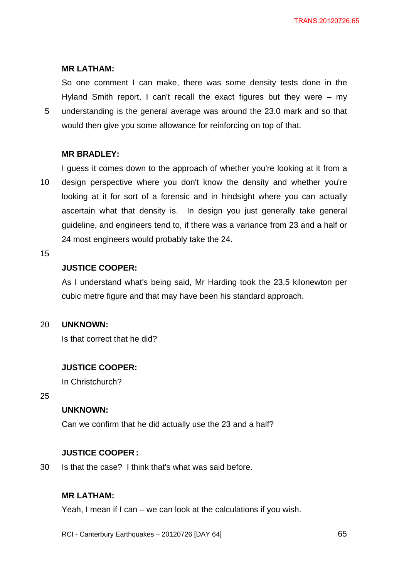## **MR LATHAM:**

5 So one comment I can make, there was some density tests done in the Hyland Smith report, I can't recall the exact figures but they were – my understanding is the general average was around the 23.0 mark and so that would then give you some allowance for reinforcing on top of that.

## **MR BRADLEY:**

10 I guess it comes down to the approach of whether you're looking at it from a design perspective where you don't know the density and whether you're looking at it for sort of a forensic and in hindsight where you can actually ascertain what that density is. In design you just generally take general guideline, and engineers tend to, if there was a variance from 23 and a half or 24 most engineers would probably take the 24.

### 15

# **JUSTICE COOPER:**

As I understand what's being said, Mr Harding took the 23.5 kilonewton per cubic metre figure and that may have been his standard approach.

#### 20 **UNKNOWN:**

Is that correct that he did?

## **JUSTICE COOPER:**

In Christchurch?

25

# **UNKNOWN:**

Can we confirm that he did actually use the 23 and a half?

### **JUSTICE COOPER :**

30 Is that the case? I think that's what was said before.

## **MR LATHAM:**

Yeah, I mean if I can – we can look at the calculations if you wish.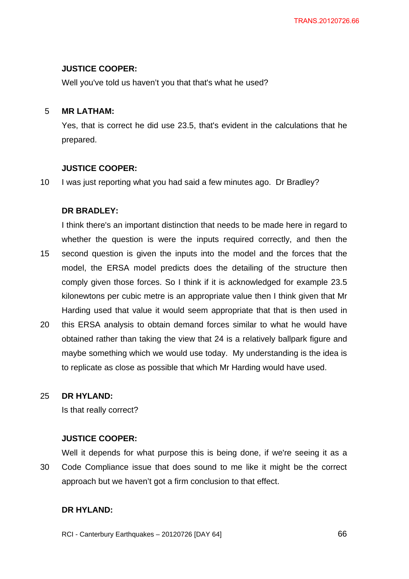## **JUSTICE COOPER:**

Well you've told us haven't you that that's what he used?

#### 5 **MR LATHAM:**

Yes, that is correct he did use 23.5, that's evident in the calculations that he prepared.

## **JUSTICE COOPER:**

10 I was just reporting what you had said a few minutes ago. Dr Bradley?

# **DR BRADLEY:**

15 I think there's an important distinction that needs to be made here in regard to whether the question is were the inputs required correctly, and then the second question is given the inputs into the model and the forces that the model, the ERSA model predicts does the detailing of the structure then comply given those forces. So I think if it is acknowledged for example 23.5 kilonewtons per cubic metre is an appropriate value then I think given that Mr Harding used that value it would seem appropriate that that is then used in

20 this ERSA analysis to obtain demand forces similar to what he would have obtained rather than taking the view that 24 is a relatively ballpark figure and maybe something which we would use today. My understanding is the idea is to replicate as close as possible that which Mr Harding would have used.

#### 25 **DR HYLAND:**

Is that really correct?

# **JUSTICE COOPER:**

30 Well it depends for what purpose this is being done, if we're seeing it as a Code Compliance issue that does sound to me like it might be the correct approach but we haven't got a firm conclusion to that effect.

# **DR HYLAND:**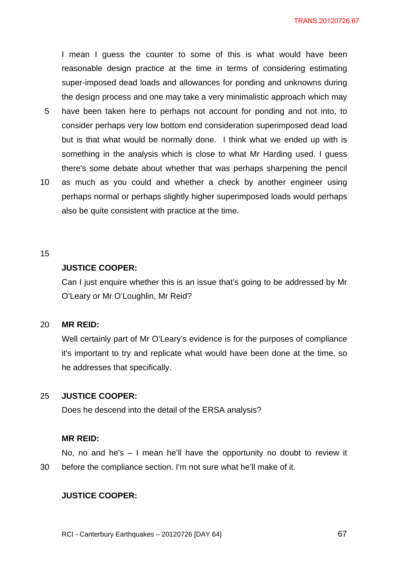I mean I guess the counter to some of this is what would have been reasonable design practice at the time in terms of considering estimating super-imposed dead loads and allowances for ponding and unknowns during the design process and one may take a very minimalistic approach which may

- 5 have been taken here to perhaps not account for ponding and not into, to consider perhaps very low bottom end consideration superimposed dead load but is that what would be normally done. I think what we ended up with is something in the analysis which is close to what Mr Harding used. I guess there's some debate about whether that was perhaps sharpening the pencil
- 10 as much as you could and whether a check by another engineer using perhaps normal or perhaps slightly higher superimposed loads would perhaps also be quite consistent with practice at the time.

### 15

# **JUSTICE COOPER:**

Can I just enquire whether this is an issue that's going to be addressed by Mr O'Leary or Mr O'Loughlin, Mr Reid?

#### 20 **MR REID:**

Well certainly part of Mr O'Leary's evidence is for the purposes of compliance it's important to try and replicate what would have been done at the time, so he addresses that specifically.

#### 25 **JUSTICE COOPER:**

Does he descend into the detail of the ERSA analysis?

### **MR REID:**

30 No, no and he's – I mean he'll have the opportunity no doubt to review it before the compliance section. I'm not sure what he'll make of it.

## **JUSTICE COOPER:**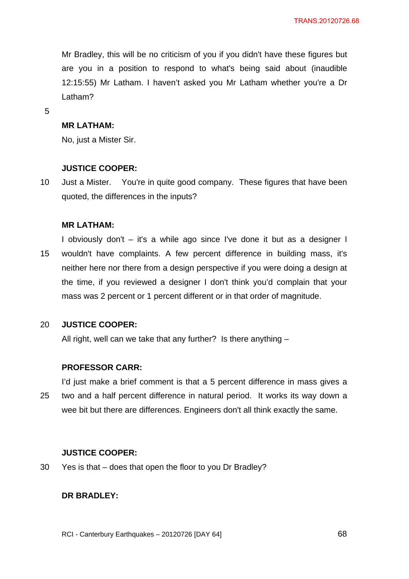Mr Bradley, this will be no criticism of you if you didn't have these figures but are you in a position to respond to what's being said about (inaudible 12:15:55) Mr Latham. I haven't asked you Mr Latham whether you're a Dr Latham?

5

### **MR LATHAM:**

No, just a Mister Sir.

### **JUSTICE COOPER:**

10 Just a Mister. You're in quite good company. These figures that have been quoted, the differences in the inputs?

### **MR LATHAM:**

15 I obviously don't – it's a while ago since I've done it but as a designer I wouldn't have complaints. A few percent difference in building mass, it's neither here nor there from a design perspective if you were doing a design at the time, if you reviewed a designer I don't think you'd complain that your mass was 2 percent or 1 percent different or in that order of magnitude.

#### 20 **JUSTICE COOPER:**

All right, well can we take that any further? Is there anything –

### **PROFESSOR CARR:**

25 I'd just make a brief comment is that a 5 percent difference in mass gives a two and a half percent difference in natural period. It works its way down a wee bit but there are differences. Engineers don't all think exactly the same.

### **JUSTICE COOPER:**

30 Yes is that – does that open the floor to you Dr Bradley?

## **DR BRADLEY:**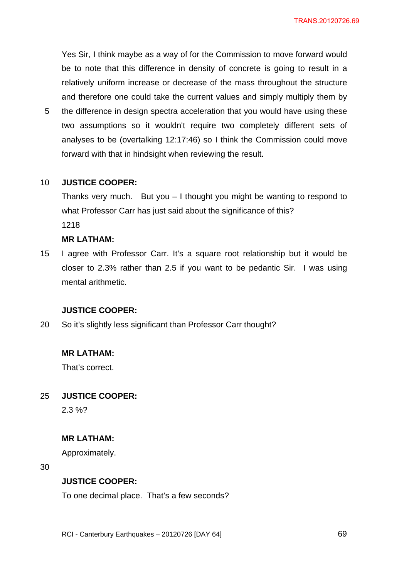Yes Sir, I think maybe as a way of for the Commission to move forward would be to note that this difference in density of concrete is going to result in a relatively uniform increase or decrease of the mass throughout the structure and therefore one could take the current values and simply multiply them by

5 the difference in design spectra acceleration that you would have using these two assumptions so it wouldn't require two completely different sets of analyses to be (overtalking 12:17:46) so I think the Commission could move forward with that in hindsight when reviewing the result.

#### 10 **JUSTICE COOPER:**

Thanks very much. But you – I thought you might be wanting to respond to what Professor Carr has just said about the significance of this? 1218

# **MR LATHAM:**

15 I agree with Professor Carr. It's a square root relationship but it would be closer to 2.3% rather than 2.5 if you want to be pedantic Sir. I was using mental arithmetic.

### **JUSTICE COOPER:**

20 So it's slightly less significant than Professor Carr thought?

## **MR LATHAM:**

That's correct.

#### 25 **JUSTICE COOPER:**

2.3 %?

## **MR LATHAM:**

Approximately.

30

## **JUSTICE COOPER:**

To one decimal place. That's a few seconds?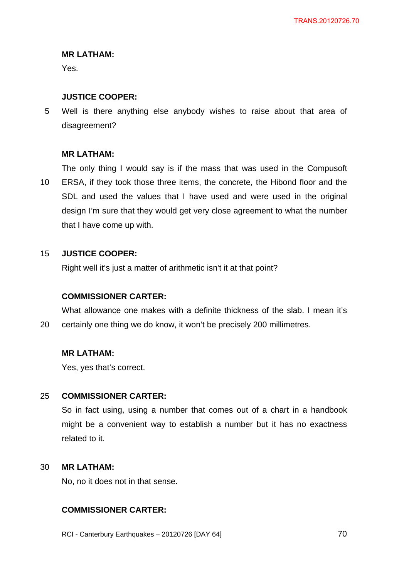# **MR LATHAM:**

Yes.

# **JUSTICE COOPER:**

5 Well is there anything else anybody wishes to raise about that area of disagreement?

# **MR LATHAM:**

10 The only thing I would say is if the mass that was used in the Compusoft ERSA, if they took those three items, the concrete, the Hibond floor and the SDL and used the values that I have used and were used in the original design I'm sure that they would get very close agreement to what the number that I have come up with.

#### 15 **JUSTICE COOPER:**

Right well it's just a matter of arithmetic isn't it at that point?

# **COMMISSIONER CARTER:**

20 What allowance one makes with a definite thickness of the slab. I mean it's certainly one thing we do know, it won't be precisely 200 millimetres.

## **MR LATHAM:**

Yes, yes that's correct.

#### 25 **COMMISSIONER CARTER:**

So in fact using, using a number that comes out of a chart in a handbook might be a convenient way to establish a number but it has no exactness related to it.

#### 30 **MR LATHAM:**

No, no it does not in that sense.

# **COMMISSIONER CARTER:**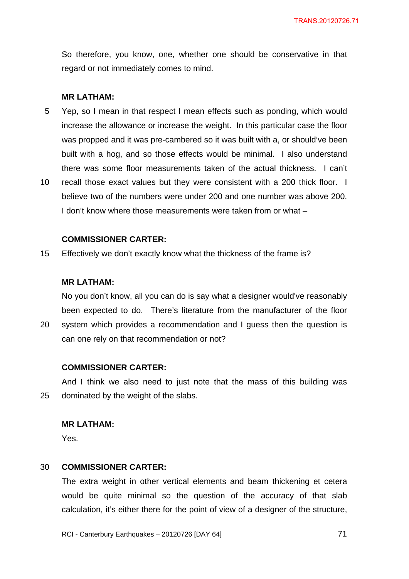So therefore, you know, one, whether one should be conservative in that regard or not immediately comes to mind.

### **MR LATHAM:**

- 5 Yep, so I mean in that respect I mean effects such as ponding, which would increase the allowance or increase the weight. In this particular case the floor was propped and it was pre-cambered so it was built with a, or should've been built with a hog, and so those effects would be minimal. I also understand there was some floor measurements taken of the actual thickness. I can't
- 10 recall those exact values but they were consistent with a 200 thick floor. I believe two of the numbers were under 200 and one number was above 200. I don't know where those measurements were taken from or what –

### **COMMISSIONER CARTER:**

15 Effectively we don't exactly know what the thickness of the frame is?

### **MR LATHAM:**

No you don't know, all you can do is say what a designer would've reasonably been expected to do. There's literature from the manufacturer of the floor

20 system which provides a recommendation and I guess then the question is can one rely on that recommendation or not?

### **COMMISSIONER CARTER:**

25 And I think we also need to just note that the mass of this building was dominated by the weight of the slabs.

### **MR LATHAM:**

Yes.

#### 30 **COMMISSIONER CARTER:**

The extra weight in other vertical elements and beam thickening et cetera would be quite minimal so the question of the accuracy of that slab calculation, it's either there for the point of view of a designer of the structure,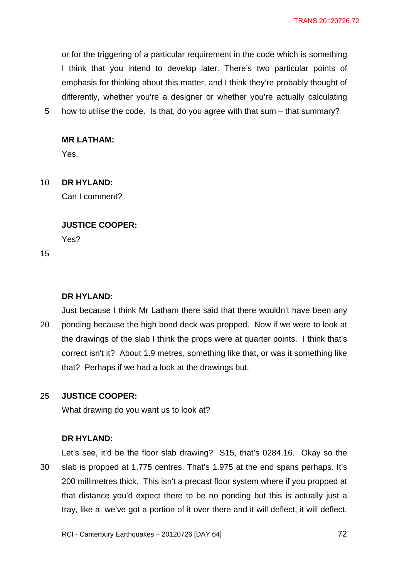or for the triggering of a particular requirement in the code which is something I think that you intend to develop later. There's two particular points of emphasis for thinking about this matter, and I think they're probably thought of differently, whether you're a designer or whether you're actually calculating

5 how to utilise the code. Is that, do you agree with that sum – that summary?

## **MR LATHAM:**

Yes.

#### 10 **DR HYLAND:**

Can I comment?

## **JUSTICE COOPER:**

Yes?

15

# **DR HYLAND:**

20 Just because I think Mr Latham there said that there wouldn't have been any ponding because the high bond deck was propped. Now if we were to look at the drawings of the slab I think the props were at quarter points. I think that's correct isn't it? About 1.9 metres, something like that, or was it something like that? Perhaps if we had a look at the drawings but.

#### 25 **JUSTICE COOPER:**

What drawing do you want us to look at?

## **DR HYLAND:**

30 Let's see, it'd be the floor slab drawing? S15, that's 0284.16. Okay so the slab is propped at 1.775 centres. That's 1.975 at the end spans perhaps. It's 200 millimetres thick. This isn't a precast floor system where if you propped at that distance you'd expect there to be no ponding but this is actually just a tray, like a, we've got a portion of it over there and it will deflect, it will deflect.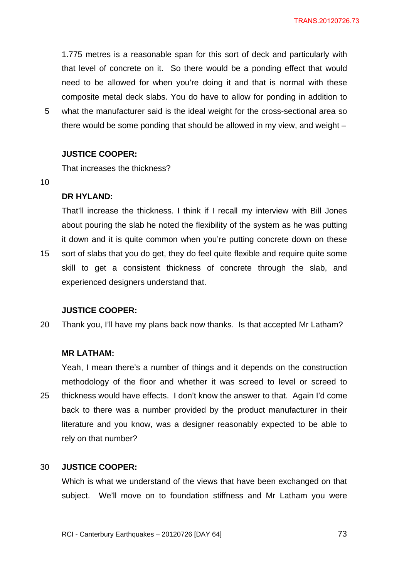1.775 metres is a reasonable span for this sort of deck and particularly with that level of concrete on it. So there would be a ponding effect that would need to be allowed for when you're doing it and that is normal with these composite metal deck slabs. You do have to allow for ponding in addition to what the manufacturer said is the ideal weight for the cross-sectional area so

5 there would be some ponding that should be allowed in my view, and weight –

### **JUSTICE COOPER:**

That increases the thickness?

10

15

### **DR HYLAND:**

That'll increase the thickness. I think if I recall my interview with Bill Jones about pouring the slab he noted the flexibility of the system as he was putting it down and it is quite common when you're putting concrete down on these sort of slabs that you do get, they do feel quite flexible and require quite some skill to get a consistent thickness of concrete through the slab, and experienced designers understand that.

### **JUSTICE COOPER:**

20 Thank you, I'll have my plans back now thanks. Is that accepted Mr Latham?

### **MR LATHAM:**

25 Yeah, I mean there's a number of things and it depends on the construction methodology of the floor and whether it was screed to level or screed to thickness would have effects. I don't know the answer to that. Again I'd come back to there was a number provided by the product manufacturer in their literature and you know, was a designer reasonably expected to be able to rely on that number?

#### 30 **JUSTICE COOPER:**

Which is what we understand of the views that have been exchanged on that subject. We'll move on to foundation stiffness and Mr Latham you were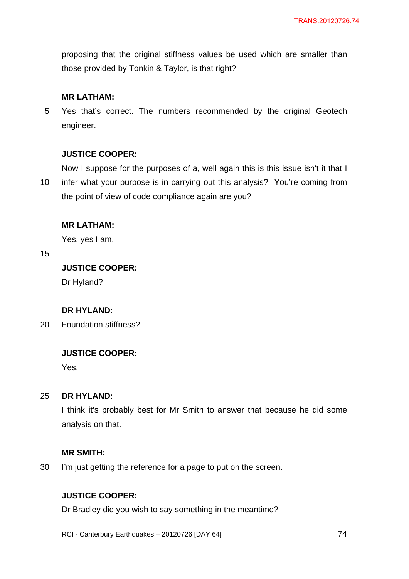proposing that the original stiffness values be used which are smaller than those provided by Tonkin & Taylor, is that right?

### **MR LATHAM:**

5 Yes that's correct. The numbers recommended by the original Geotech engineer.

### **JUSTICE COOPER:**

Now I suppose for the purposes of a, well again this is this issue isn't it that I

10 infer what your purpose is in carrying out this analysis? You're coming from the point of view of code compliance again are you?

### **MR LATHAM:**

Yes, yes I am.

15

## **JUSTICE COOPER:**

Dr Hyland?

### **DR HYLAND:**

20 Foundation stiffness?

### **JUSTICE COOPER:**

Yes.

#### 25 **DR HYLAND:**

I think it's probably best for Mr Smith to answer that because he did some analysis on that.

### **MR SMITH:**

30 I'm just getting the reference for a page to put on the screen.

## **JUSTICE COOPER:**

Dr Bradley did you wish to say something in the meantime?

RCI - Canterbury Earthquakes – 20120726 [DAY 64]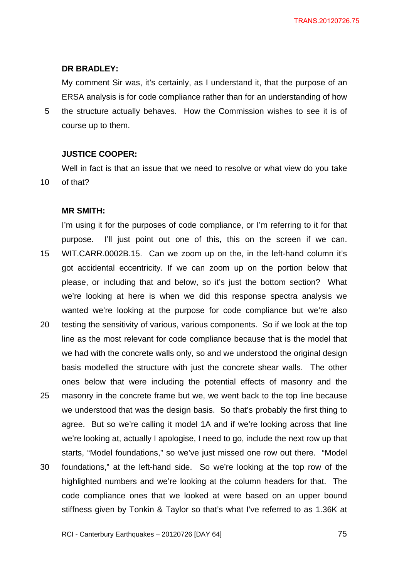### **DR BRADLEY:**

My comment Sir was, it's certainly, as I understand it, that the purpose of an ERSA analysis is for code compliance rather than for an understanding of how

5 the structure actually behaves. How the Commission wishes to see it is of course up to them.

### **JUSTICE COOPER:**

Well in fact is that an issue that we need to resolve or what view do you take of that?

### **MR SMITH:**

10

15 20 25 30 I'm using it for the purposes of code compliance, or I'm referring to it for that purpose. I'll just point out one of this, this on the screen if we can. WIT.CARR.0002B.15. Can we zoom up on the, in the left-hand column it's got accidental eccentricity. If we can zoom up on the portion below that please, or including that and below, so it's just the bottom section? What we're looking at here is when we did this response spectra analysis we wanted we're looking at the purpose for code compliance but we're also testing the sensitivity of various, various components. So if we look at the top line as the most relevant for code compliance because that is the model that we had with the concrete walls only, so and we understood the original design basis modelled the structure with just the concrete shear walls. The other ones below that were including the potential effects of masonry and the masonry in the concrete frame but we, we went back to the top line because we understood that was the design basis. So that's probably the first thing to agree. But so we're calling it model 1A and if we're looking across that line we're looking at, actually I apologise, I need to go, include the next row up that starts, "Model foundations," so we've just missed one row out there. "Model foundations," at the left-hand side. So we're looking at the top row of the highlighted numbers and we're looking at the column headers for that. The code compliance ones that we looked at were based on an upper bound stiffness given by Tonkin & Taylor so that's what I've referred to as 1.36K at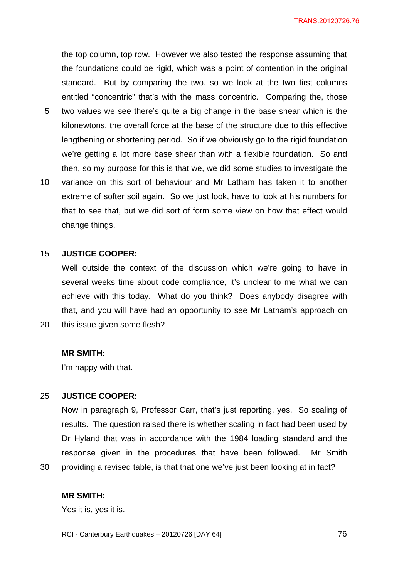5 10 the top column, top row. However we also tested the response assuming that the foundations could be rigid, which was a point of contention in the original standard. But by comparing the two, so we look at the two first columns entitled "concentric" that's with the mass concentric. Comparing the, those two values we see there's quite a big change in the base shear which is the kilonewtons, the overall force at the base of the structure due to this effective lengthening or shortening period. So if we obviously go to the rigid foundation we're getting a lot more base shear than with a flexible foundation. So and then, so my purpose for this is that we, we did some studies to investigate the variance on this sort of behaviour and Mr Latham has taken it to another extreme of softer soil again. So we just look, have to look at his numbers for that to see that, but we did sort of form some view on how that effect would

#### 15 **JUSTICE COOPER:**

change things.

Well outside the context of the discussion which we're going to have in several weeks time about code compliance, it's unclear to me what we can achieve with this today. What do you think? Does anybody disagree with that, and you will have had an opportunity to see Mr Latham's approach on this issue given some flesh?

### **MR SMITH:**

20

30

I'm happy with that.

#### 25 **JUSTICE COOPER:**

Now in paragraph 9, Professor Carr, that's just reporting, yes. So scaling of results. The question raised there is whether scaling in fact had been used by Dr Hyland that was in accordance with the 1984 loading standard and the response given in the procedures that have been followed. Mr Smith providing a revised table, is that that one we've just been looking at in fact?

**MR SMITH:** 

Yes it is, yes it is.

RCI - Canterbury Earthquakes – 20120726 [DAY 64]

<u>2012 - Paris Carl The Carl The Time State of the Carl The Time State of the Carl The Time State of the Time St</u>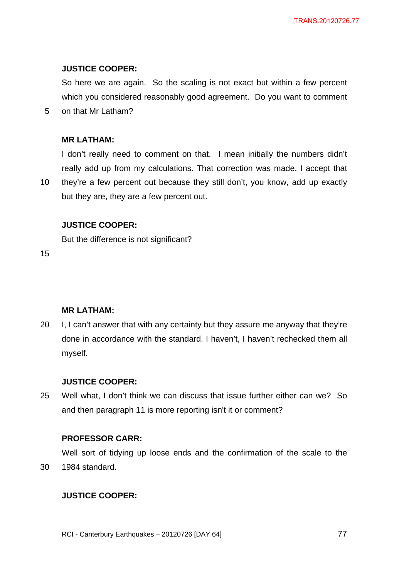## **JUSTICE COOPER:**

So here we are again. So the scaling is not exact but within a few percent which you considered reasonably good agreement. Do you want to comment

5 on that Mr Latham?

## **MR LATHAM:**

I don't really need to comment on that. I mean initially the numbers didn't really add up from my calculations. That correction was made. I accept that

10 they're a few percent out because they still don't, you know, add up exactly but they are, they are a few percent out.

## **JUSTICE COOPER:**

But the difference is not significant?

15

# **MR LATHAM:**

20 I, I can't answer that with any certainty but they assure me anyway that they're done in accordance with the standard. I haven't, I haven't rechecked them all myself.

### **JUSTICE COOPER:**

25 Well what, I don't think we can discuss that issue further either can we? So and then paragraph 11 is more reporting isn't it or comment?

# **PROFESSOR CARR:**

30 Well sort of tidying up loose ends and the confirmation of the scale to the 1984 standard.

# **JUSTICE COOPER:**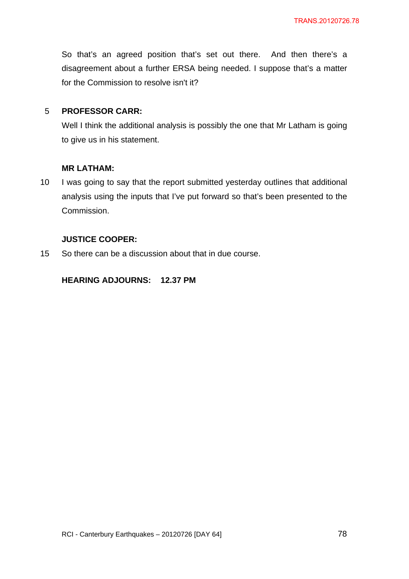So that's an agreed position that's set out there. And then there's a disagreement about a further ERSA being needed. I suppose that's a matter for the Commission to resolve isn't it?

#### 5 **PROFESSOR CARR:**

Well I think the additional analysis is possibly the one that Mr Latham is going to give us in his statement.

## **MR LATHAM:**

10 I was going to say that the report submitted yesterday outlines that additional analysis using the inputs that I've put forward so that's been presented to the Commission.

## **JUSTICE COOPER:**

15 So there can be a discussion about that in due course.

## **HEARING ADJOURNS: 12.37 PM**